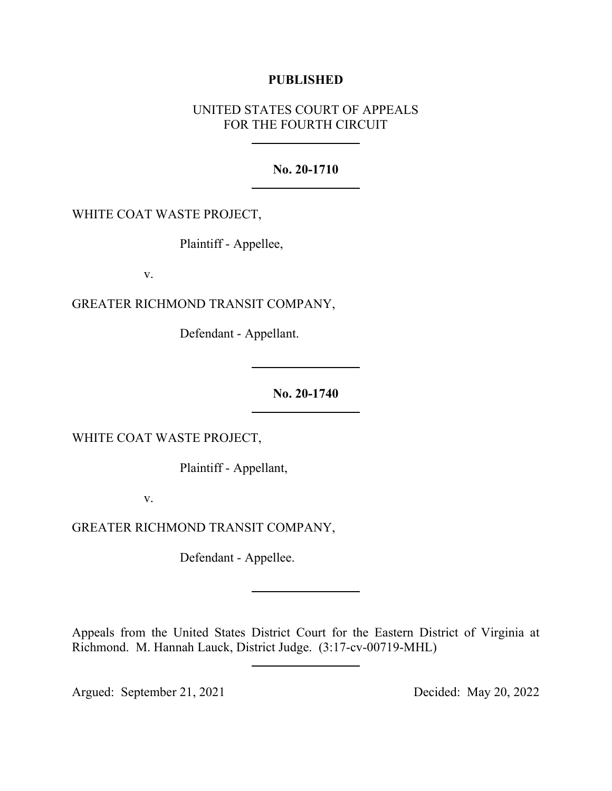## **PUBLISHED**

# UNITED STATES COURT OF APPEALS FOR THE FOURTH CIRCUIT

### **No. 20-1710**

WHITE COAT WASTE PROJECT,

Plaintiff - Appellee,

v.

GREATER RICHMOND TRANSIT COMPANY,

Defendant - Appellant.

**No. 20-1740**

WHITE COAT WASTE PROJECT,

Plaintiff - Appellant,

v.

GREATER RICHMOND TRANSIT COMPANY,

Defendant - Appellee.

Appeals from the United States District Court for the Eastern District of Virginia at Richmond. M. Hannah Lauck, District Judge. (3:17-cv-00719-MHL)

Argued: September 21, 2021 Decided: May 20, 2022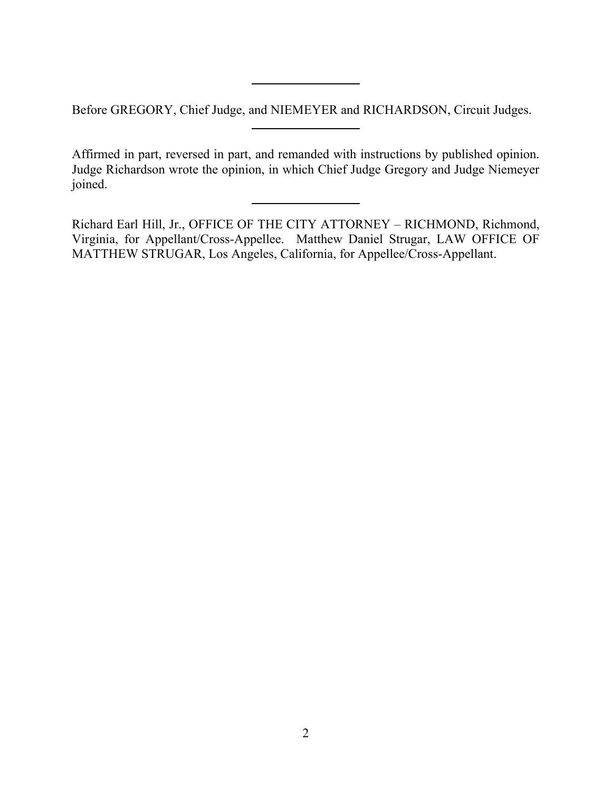Before GREGORY, Chief Judge, and NIEMEYER and RICHARDSON, Circuit Judges.

Affirmed in part, reversed in part, and remanded with instructions by published opinion. Judge Richardson wrote the opinion, in which Chief Judge Gregory and Judge Niemeyer joined.

Richard Earl Hill, Jr., OFFICE OF THE CITY ATTORNEY – RICHMOND, Richmond, Virginia, for Appellant/Cross-Appellee. Matthew Daniel Strugar, LAW OFFICE OF MATTHEW STRUGAR, Los Angeles, California, for Appellee/Cross-Appellant.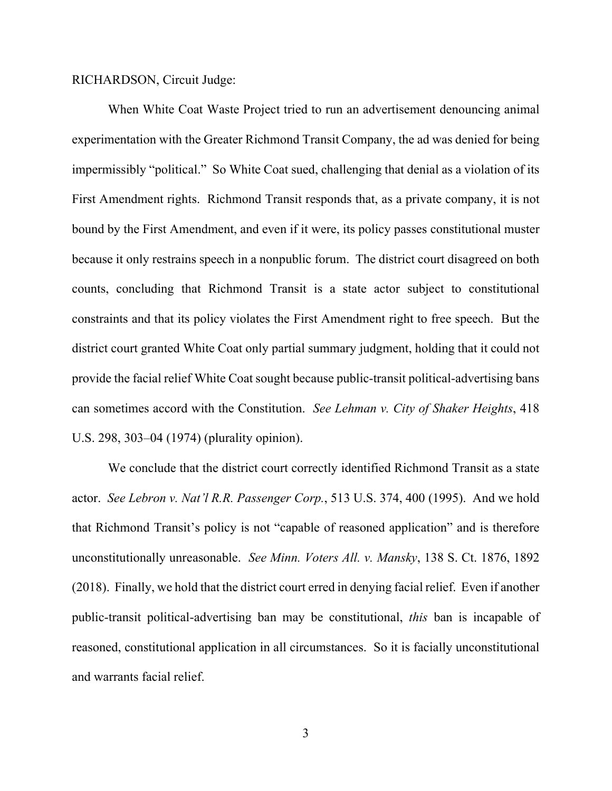RICHARDSON, Circuit Judge:

When White Coat Waste Project tried to run an advertisement denouncing animal experimentation with the Greater Richmond Transit Company, the ad was denied for being impermissibly "political." So White Coat sued, challenging that denial as a violation of its First Amendment rights. Richmond Transit responds that, as a private company, it is not bound by the First Amendment, and even if it were, its policy passes constitutional muster because it only restrains speech in a nonpublic forum. The district court disagreed on both counts, concluding that Richmond Transit is a state actor subject to constitutional constraints and that its policy violates the First Amendment right to free speech. But the district court granted White Coat only partial summary judgment, holding that it could not provide the facial relief White Coat sought because public-transit political-advertising bans can sometimes accord with the Constitution. *See Lehman v. City of Shaker Heights*, 418 U.S. 298, 303–04 (1974) (plurality opinion).

We conclude that the district court correctly identified Richmond Transit as a state actor. *See Lebron v. Nat'l R.R. Passenger Corp.*, 513 U.S. 374, 400 (1995). And we hold that Richmond Transit's policy is not "capable of reasoned application" and is therefore unconstitutionally unreasonable. *See Minn. Voters All. v. Mansky*, 138 S. Ct. 1876, 1892 (2018). Finally, we hold that the district court erred in denying facial relief. Even if another public-transit political-advertising ban may be constitutional, *this* ban is incapable of reasoned, constitutional application in all circumstances. So it is facially unconstitutional and warrants facial relief.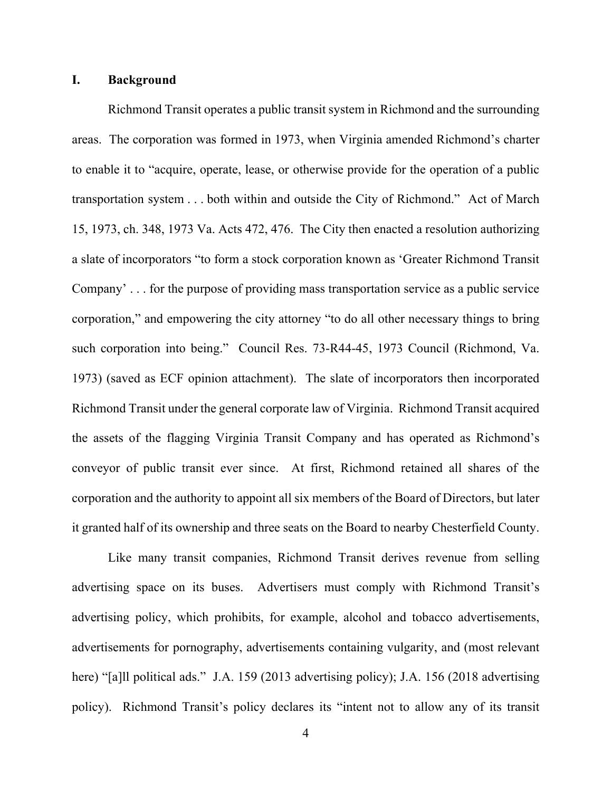### **I. Background**

Richmond Transit operates a public transit system in Richmond and the surrounding areas. The corporation was formed in 1973, when Virginia amended Richmond's charter to enable it to "acquire, operate, lease, or otherwise provide for the operation of a public transportation system . . . both within and outside the City of Richmond." Act of March 15, 1973, ch. 348, 1973 Va. Acts 472, 476. The City then enacted a resolution authorizing a slate of incorporators "to form a stock corporation known as 'Greater Richmond Transit Company' . . . for the purpose of providing mass transportation service as a public service corporation," and empowering the city attorney "to do all other necessary things to bring such corporation into being." Council Res. 73-R44-45, 1973 Council (Richmond, Va. 1973) (saved as ECF opinion attachment). The slate of incorporators then incorporated Richmond Transit under the general corporate law of Virginia. Richmond Transit acquired the assets of the flagging Virginia Transit Company and has operated as Richmond's conveyor of public transit ever since. At first, Richmond retained all shares of the corporation and the authority to appoint all six members of the Board of Directors, but later it granted half of its ownership and three seats on the Board to nearby Chesterfield County.

Like many transit companies, Richmond Transit derives revenue from selling advertising space on its buses. Advertisers must comply with Richmond Transit's advertising policy, which prohibits, for example, alcohol and tobacco advertisements, advertisements for pornography, advertisements containing vulgarity, and (most relevant here) "[a]ll political ads." J.A. 159 (2013 advertising policy); J.A. 156 (2018 advertising policy). Richmond Transit's policy declares its "intent not to allow any of its transit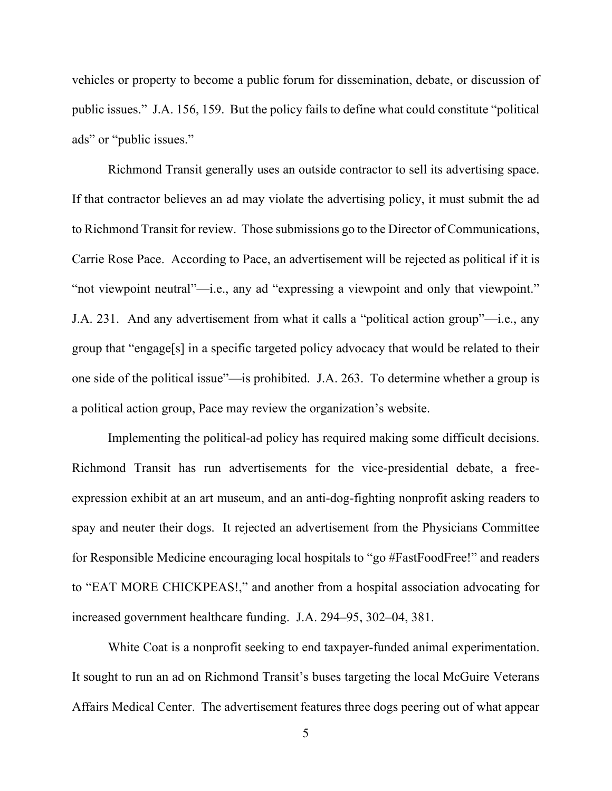vehicles or property to become a public forum for dissemination, debate, or discussion of public issues." J.A. 156, 159. But the policy fails to define what could constitute "political ads" or "public issues."

Richmond Transit generally uses an outside contractor to sell its advertising space. If that contractor believes an ad may violate the advertising policy, it must submit the ad to Richmond Transit for review. Those submissions go to the Director of Communications, Carrie Rose Pace. According to Pace, an advertisement will be rejected as political if it is "not viewpoint neutral"—i.e., any ad "expressing a viewpoint and only that viewpoint." J.A. 231. And any advertisement from what it calls a "political action group"—i.e., any group that "engage[s] in a specific targeted policy advocacy that would be related to their one side of the political issue"—is prohibited. J.A. 263. To determine whether a group is a political action group, Pace may review the organization's website.

Implementing the political-ad policy has required making some difficult decisions. Richmond Transit has run advertisements for the vice-presidential debate, a freeexpression exhibit at an art museum, and an anti-dog-fighting nonprofit asking readers to spay and neuter their dogs. It rejected an advertisement from the Physicians Committee for Responsible Medicine encouraging local hospitals to "go #FastFoodFree!" and readers to "EAT MORE CHICKPEAS!," and another from a hospital association advocating for increased government healthcare funding. J.A. 294–95, 302–04, 381.

White Coat is a nonprofit seeking to end taxpayer-funded animal experimentation. It sought to run an ad on Richmond Transit's buses targeting the local McGuire Veterans Affairs Medical Center. The advertisement features three dogs peering out of what appear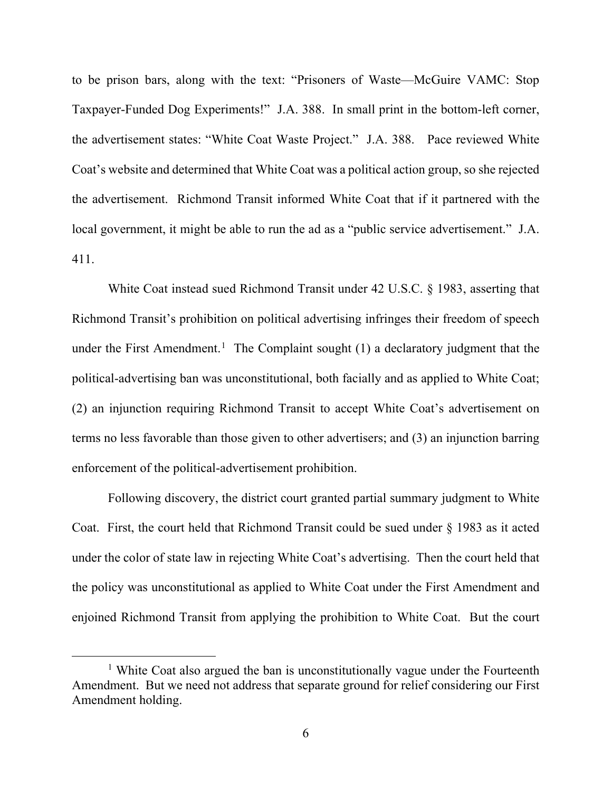to be prison bars, along with the text: "Prisoners of Waste—McGuire VAMC: Stop Taxpayer-Funded Dog Experiments!" J.A. 388. In small print in the bottom-left corner, the advertisement states: "White Coat Waste Project." J.A. 388. Pace reviewed White Coat's website and determined that White Coat was a political action group, so she rejected the advertisement. Richmond Transit informed White Coat that if it partnered with the local government, it might be able to run the ad as a "public service advertisement." J.A. 411.

White Coat instead sued Richmond Transit under 42 U.S.C. § 1983, asserting that Richmond Transit's prohibition on political advertising infringes their freedom of speech under the First Amendment.<sup>[1](#page-5-0)</sup> The Complaint sought  $(1)$  a declaratory judgment that the political-advertising ban was unconstitutional, both facially and as applied to White Coat; (2) an injunction requiring Richmond Transit to accept White Coat's advertisement on terms no less favorable than those given to other advertisers; and (3) an injunction barring enforcement of the political-advertisement prohibition.

Following discovery, the district court granted partial summary judgment to White Coat. First, the court held that Richmond Transit could be sued under § 1983 as it acted under the color of state law in rejecting White Coat's advertising. Then the court held that the policy was unconstitutional as applied to White Coat under the First Amendment and enjoined Richmond Transit from applying the prohibition to White Coat. But the court

<span id="page-5-0"></span><sup>&</sup>lt;sup>1</sup> White Coat also argued the ban is unconstitutionally vague under the Fourteenth Amendment. But we need not address that separate ground for relief considering our First Amendment holding.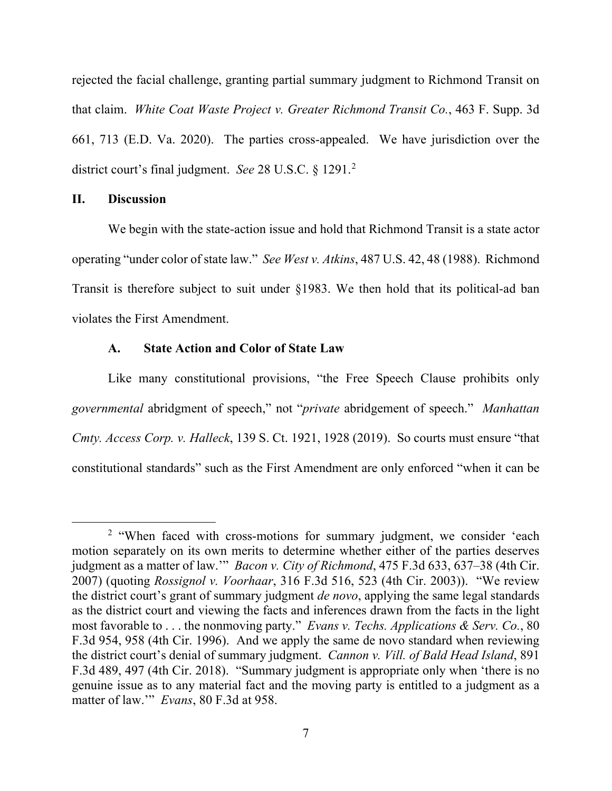rejected the facial challenge, granting partial summary judgment to Richmond Transit on that claim. *White Coat Waste Project v. Greater Richmond Transit Co.*, 463 F. Supp. 3d 661, 713 (E.D. Va. 2020). The parties cross-appealed. We have jurisdiction over the district court's final judgment. *See* 28 U.S.C. § 1291.[2](#page-6-0)

## **II. Discussion**

We begin with the state-action issue and hold that Richmond Transit is a state actor operating "under color of state law." *See West v. Atkins*, 487 U.S. 42, 48 (1988). Richmond Transit is therefore subject to suit under §1983. We then hold that its political-ad ban violates the First Amendment.

## **A. State Action and Color of State Law**

Like many constitutional provisions, "the Free Speech Clause prohibits only *governmental* abridgment of speech," not "*private* abridgement of speech." *Manhattan Cmty. Access Corp. v. Halleck*, 139 S. Ct. 1921, 1928 (2019). So courts must ensure "that constitutional standards" such as the First Amendment are only enforced "when it can be

<span id="page-6-0"></span><sup>&</sup>lt;sup>2</sup> "When faced with cross-motions for summary judgment, we consider 'each motion separately on its own merits to determine whether either of the parties deserves judgment as a matter of law.'" *Bacon v. City of Richmond*, 475 F.3d 633, 637–38 (4th Cir. 2007) (quoting *Rossignol v. Voorhaar*, 316 F.3d 516, 523 (4th Cir. 2003)). "We review the district court's grant of summary judgment *de novo*, applying the same legal standards as the district court and viewing the facts and inferences drawn from the facts in the light most favorable to . . . the nonmoving party." *Evans v. Techs. Applications & Serv. Co.*, 80 F.3d 954, 958 (4th Cir. 1996). And we apply the same de novo standard when reviewing the district court's denial of summary judgment. *Cannon v. Vill. of Bald Head Island*, 891 F.3d 489, 497 (4th Cir. 2018). "Summary judgment is appropriate only when 'there is no genuine issue as to any material fact and the moving party is entitled to a judgment as a matter of law.'" *Evans*, 80 F.3d at 958.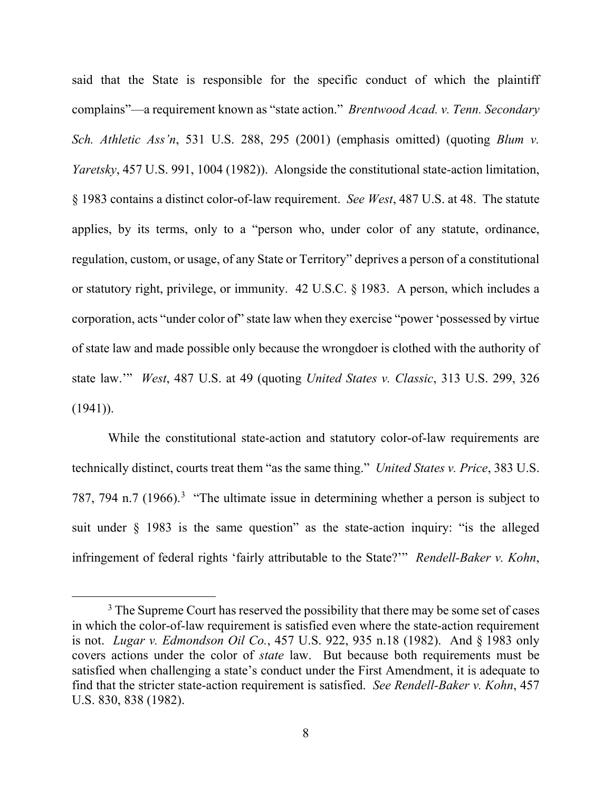said that the State is responsible for the specific conduct of which the plaintiff complains"—a requirement known as "state action." *Brentwood Acad. v. Tenn. Secondary Sch. Athletic Ass'n*, 531 U.S. 288, 295 (2001) (emphasis omitted) (quoting *Blum v. Yaretsky*, 457 U.S. 991, 1004 (1982)). Alongside the constitutional state-action limitation, § 1983 contains a distinct color-of-law requirement. *See West*, 487 U.S. at 48. The statute applies, by its terms, only to a "person who, under color of any statute, ordinance, regulation, custom, or usage, of any State or Territory" deprives a person of a constitutional or statutory right, privilege, or immunity. 42 U.S.C. § 1983. A person, which includes a corporation, acts "under color of" state law when they exercise "power 'possessed by virtue of state law and made possible only because the wrongdoer is clothed with the authority of state law.'" *West*, 487 U.S. at 49 (quoting *United States v. Classic*, 313 U.S. 299, 326  $(1941)$ ).

While the constitutional state-action and statutory color-of-law requirements are technically distinct, courts treat them "as the same thing." *United States v. Price*, 383 U.S. 787, 794 n.7 (1966).<sup>[3](#page-7-0)</sup> "The ultimate issue in determining whether a person is subject to suit under § 1983 is the same question" as the state-action inquiry: "is the alleged infringement of federal rights 'fairly attributable to the State?'" *Rendell-Baker v. Kohn*,

<span id="page-7-0"></span> $3$  The Supreme Court has reserved the possibility that there may be some set of cases in which the color-of-law requirement is satisfied even where the state-action requirement is not. *Lugar v. Edmondson Oil Co.*, 457 U.S. 922, 935 n.18 (1982). And § 1983 only covers actions under the color of *state* law. But because both requirements must be satisfied when challenging a state's conduct under the First Amendment, it is adequate to find that the stricter state-action requirement is satisfied. *See Rendell-Baker v. Kohn*, 457 U.S. 830, 838 (1982).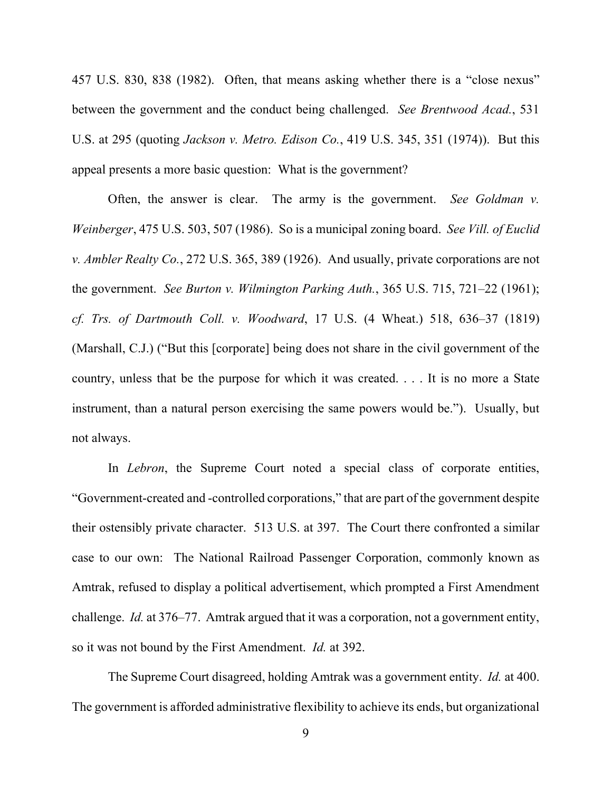457 U.S. 830, 838 (1982). Often, that means asking whether there is a "close nexus" between the government and the conduct being challenged. *See Brentwood Acad.*, 531 U.S. at 295 (quoting *Jackson v. Metro. Edison Co.*, 419 U.S. 345, 351 (1974)). But this appeal presents a more basic question: What is the government?

Often, the answer is clear. The army is the government. *See Goldman v. Weinberger*, 475 U.S. 503, 507 (1986). So is a municipal zoning board. *See Vill. of Euclid v. Ambler Realty Co.*, 272 U.S. 365, 389 (1926). And usually, private corporations are not the government. *See Burton v. Wilmington Parking Auth.*, 365 U.S. 715, 721–22 (1961); *cf. Trs. of Dartmouth Coll. v. Woodward*, 17 U.S. (4 Wheat.) 518, 636–37 (1819) (Marshall, C.J.) ("But this [corporate] being does not share in the civil government of the country, unless that be the purpose for which it was created. . . . It is no more a State instrument, than a natural person exercising the same powers would be."). Usually, but not always.

In *Lebron*, the Supreme Court noted a special class of corporate entities, "Government-created and -controlled corporations," that are part of the government despite their ostensibly private character. 513 U.S. at 397. The Court there confronted a similar case to our own: The National Railroad Passenger Corporation, commonly known as Amtrak, refused to display a political advertisement, which prompted a First Amendment challenge. *Id.* at 376–77. Amtrak argued that it was a corporation, not a government entity, so it was not bound by the First Amendment. *Id.* at 392.

The Supreme Court disagreed, holding Amtrak was a government entity. *Id.* at 400. The government is afforded administrative flexibility to achieve its ends, but organizational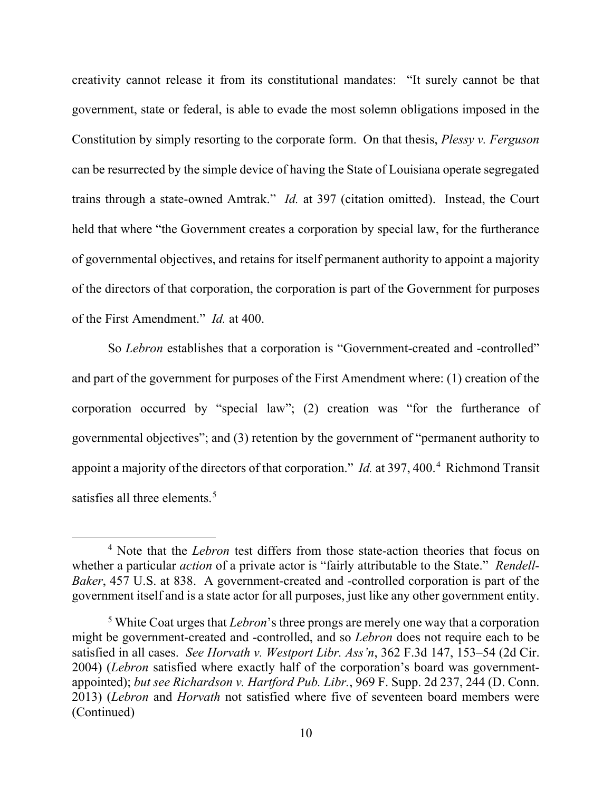creativity cannot release it from its constitutional mandates: "It surely cannot be that government, state or federal, is able to evade the most solemn obligations imposed in the Constitution by simply resorting to the corporate form. On that thesis, *Plessy v. Ferguson* can be resurrected by the simple device of having the State of Louisiana operate segregated trains through a state-owned Amtrak." *Id.* at 397 (citation omitted). Instead, the Court held that where "the Government creates a corporation by special law, for the furtherance of governmental objectives, and retains for itself permanent authority to appoint a majority of the directors of that corporation, the corporation is part of the Government for purposes of the First Amendment." *Id.* at 400.

So *Lebron* establishes that a corporation is "Government-created and -controlled" and part of the government for purposes of the First Amendment where: (1) creation of the corporation occurred by "special law"; (2) creation was "for the furtherance of governmental objectives"; and (3) retention by the government of "permanent authority to appoint a majority of the directors of that corporation." *Id.* at 397, [4](#page-9-0)00.<sup>4</sup> Richmond Transit satisfies all three elements.<sup>[5](#page-9-1)</sup>

<span id="page-9-0"></span><sup>4</sup> Note that the *Lebron* test differs from those state-action theories that focus on whether a particular *action* of a private actor is "fairly attributable to the State." *Rendell-Baker*, 457 U.S. at 838. A government-created and -controlled corporation is part of the government itself and is a state actor for all purposes, just like any other government entity.

<span id="page-9-1"></span><sup>5</sup> White Coat urges that *Lebron*'s three prongs are merely one way that a corporation might be government-created and -controlled, and so *Lebron* does not require each to be satisfied in all cases. *See Horvath v. Westport Libr. Ass'n*, 362 F.3d 147, 153–54 (2d Cir. 2004) (*Lebron* satisfied where exactly half of the corporation's board was governmentappointed); *but see Richardson v. Hartford Pub. Libr.*, 969 F. Supp. 2d 237, 244 (D. Conn. 2013) (*Lebron* and *Horvath* not satisfied where five of seventeen board members were (Continued)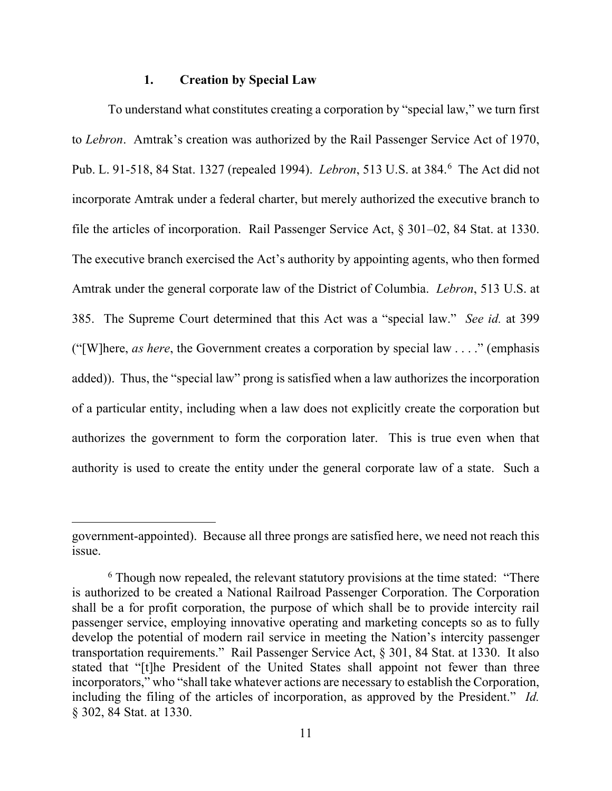#### **1. Creation by Special Law**

To understand what constitutes creating a corporation by "special law," we turn first to *Lebron*. Amtrak's creation was authorized by the Rail Passenger Service Act of 1970, Pub. L. 91-518, 84 Stat. 1327 (repealed 1994). *Lebron*, 513 U.S. at 384.[6](#page-10-0) The Act did not incorporate Amtrak under a federal charter, but merely authorized the executive branch to file the articles of incorporation. Rail Passenger Service Act, § 301–02, 84 Stat. at 1330. The executive branch exercised the Act's authority by appointing agents, who then formed Amtrak under the general corporate law of the District of Columbia. *Lebron*, 513 U.S. at 385. The Supreme Court determined that this Act was a "special law." *See id.* at 399 ("[W]here, *as here*, the Government creates a corporation by special law . . . ." (emphasis added)). Thus, the "special law" prong is satisfied when a law authorizes the incorporation of a particular entity, including when a law does not explicitly create the corporation but authorizes the government to form the corporation later. This is true even when that authority is used to create the entity under the general corporate law of a state. Such a

government-appointed). Because all three prongs are satisfied here, we need not reach this issue.

<span id="page-10-0"></span><sup>&</sup>lt;sup>6</sup> Though now repealed, the relevant statutory provisions at the time stated: "There" is authorized to be created a National Railroad Passenger Corporation. The Corporation shall be a for profit corporation, the purpose of which shall be to provide intercity rail passenger service, employing innovative operating and marketing concepts so as to fully develop the potential of modern rail service in meeting the Nation's intercity passenger transportation requirements." Rail Passenger Service Act, § 301, 84 Stat. at 1330. It also stated that "[t]he President of the United States shall appoint not fewer than three incorporators," who "shall take whatever actions are necessary to establish the Corporation, including the filing of the articles of incorporation, as approved by the President." *Id.*  § 302, 84 Stat. at 1330.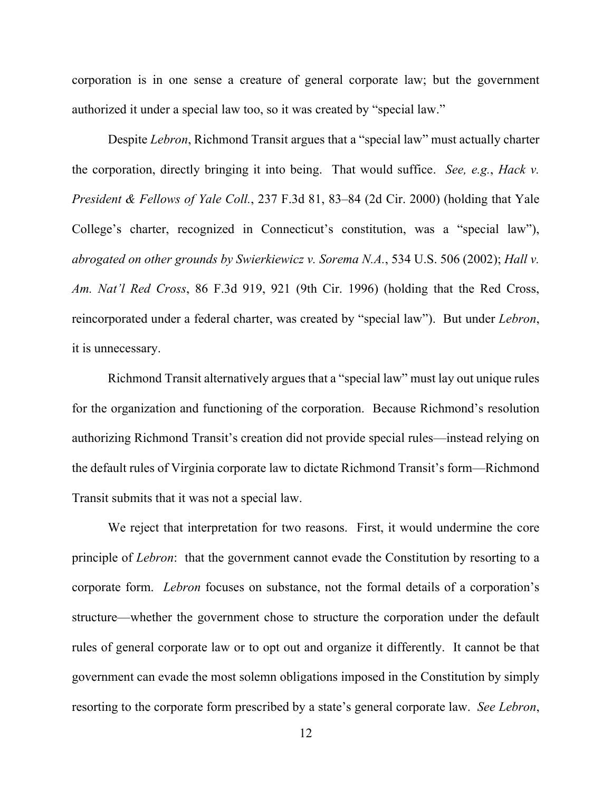corporation is in one sense a creature of general corporate law; but the government authorized it under a special law too, so it was created by "special law."

Despite *Lebron*, Richmond Transit argues that a "special law" must actually charter the corporation, directly bringing it into being. That would suffice. *See, e.g.*, *Hack v. President & Fellows of Yale Coll.*, 237 F.3d 81, 83–84 (2d Cir. 2000) (holding that Yale College's charter, recognized in Connecticut's constitution, was a "special law"), *abrogated on other grounds by Swierkiewicz v. Sorema N.A.*, 534 U.S. 506 (2002); *Hall v. Am. Nat'l Red Cross*, 86 F.3d 919, 921 (9th Cir. 1996) (holding that the Red Cross, reincorporated under a federal charter, was created by "special law"). But under *Lebron*, it is unnecessary.

Richmond Transit alternatively argues that a "special law" must lay out unique rules for the organization and functioning of the corporation. Because Richmond's resolution authorizing Richmond Transit's creation did not provide special rules—instead relying on the default rules of Virginia corporate law to dictate Richmond Transit's form—Richmond Transit submits that it was not a special law.

We reject that interpretation for two reasons. First, it would undermine the core principle of *Lebron*: that the government cannot evade the Constitution by resorting to a corporate form. *Lebron* focuses on substance, not the formal details of a corporation's structure—whether the government chose to structure the corporation under the default rules of general corporate law or to opt out and organize it differently. It cannot be that government can evade the most solemn obligations imposed in the Constitution by simply resorting to the corporate form prescribed by a state's general corporate law. *See Lebron*,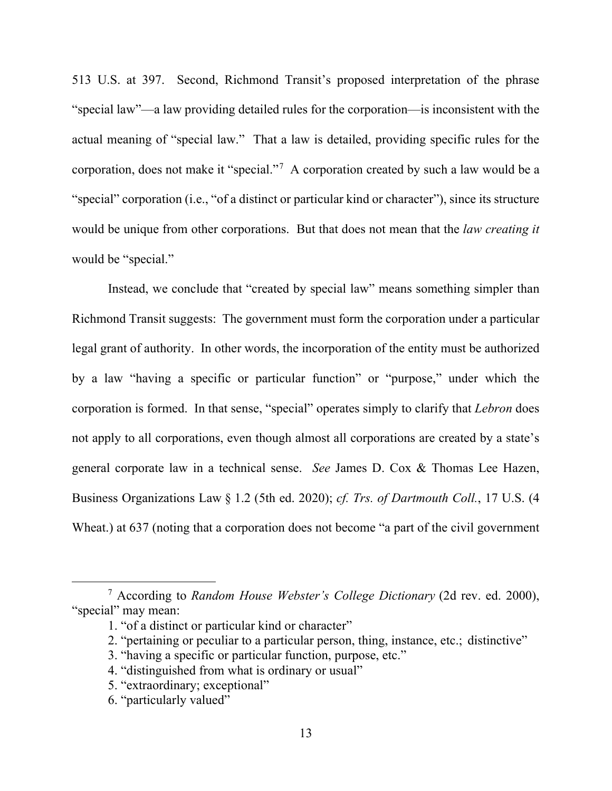513 U.S. at 397. Second, Richmond Transit's proposed interpretation of the phrase "special law"—a law providing detailed rules for the corporation—is inconsistent with the actual meaning of "special law." That a law is detailed, providing specific rules for the corporation, does not make it "special."[7](#page-12-0) A corporation created by such a law would be a "special" corporation (i.e., "of a distinct or particular kind or character"), since its structure would be unique from other corporations. But that does not mean that the *law creating it* would be "special."

Instead, we conclude that "created by special law" means something simpler than Richmond Transit suggests: The government must form the corporation under a particular legal grant of authority. In other words, the incorporation of the entity must be authorized by a law "having a specific or particular function" or "purpose," under which the corporation is formed. In that sense, "special" operates simply to clarify that *Lebron* does not apply to all corporations, even though almost all corporations are created by a state's general corporate law in a technical sense. *See* James D. Cox & Thomas Lee Hazen, Business Organizations Law § 1.2 (5th ed. 2020); *cf. Trs. of Dartmouth Coll.*, 17 U.S. (4 Wheat.) at 637 (noting that a corporation does not become "a part of the civil government

- 2. "pertaining or peculiar to a particular person, thing, instance, etc.; distinctive"
- 3. "having a specific or particular function, purpose, etc."
- 4. "distinguished from what is ordinary or usual"
- 5. "extraordinary; exceptional"
- 6. "particularly valued"

<span id="page-12-0"></span><sup>7</sup> According to *Random House Webster's College Dictionary* (2d rev. ed. 2000), "special" may mean:

<sup>1. &</sup>quot;of a distinct or particular kind or character"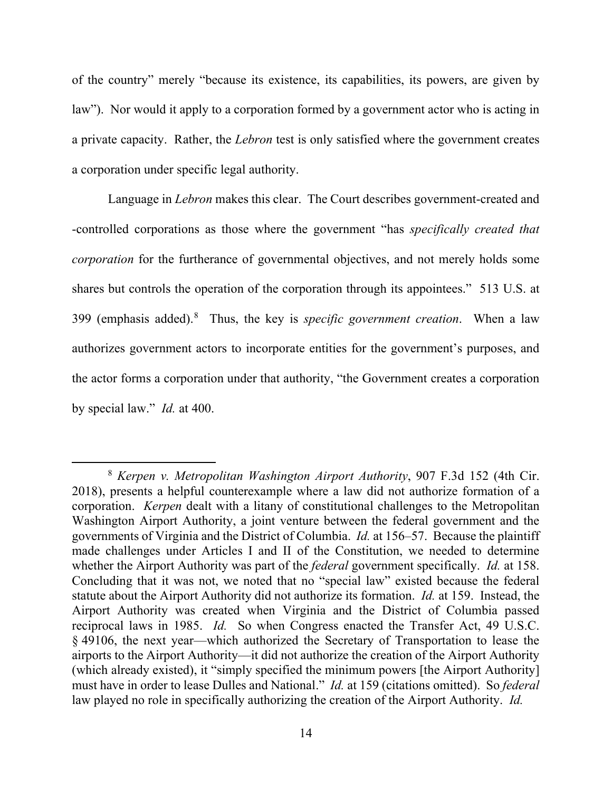of the country" merely "because its existence, its capabilities, its powers, are given by law"). Nor would it apply to a corporation formed by a government actor who is acting in a private capacity. Rather, the *Lebron* test is only satisfied where the government creates a corporation under specific legal authority.

Language in *Lebron* makes this clear. The Court describes government-created and -controlled corporations as those where the government "has *specifically created that corporation* for the furtherance of governmental objectives, and not merely holds some shares but controls the operation of the corporation through its appointees." 513 U.S. at 399 (emphasis added).[8](#page-13-0) Thus, the key is *specific government creation*. When a law authorizes government actors to incorporate entities for the government's purposes, and the actor forms a corporation under that authority, "the Government creates a corporation by special law." *Id.* at 400.

<span id="page-13-0"></span><sup>8</sup> *Kerpen v. Metropolitan Washington Airport Authority*, 907 F.3d 152 (4th Cir. 2018), presents a helpful counterexample where a law did not authorize formation of a corporation. *Kerpen* dealt with a litany of constitutional challenges to the Metropolitan Washington Airport Authority, a joint venture between the federal government and the governments of Virginia and the District of Columbia. *Id.* at 156–57. Because the plaintiff made challenges under Articles I and II of the Constitution, we needed to determine whether the Airport Authority was part of the *federal* government specifically. *Id.* at 158. Concluding that it was not, we noted that no "special law" existed because the federal statute about the Airport Authority did not authorize its formation. *Id.* at 159. Instead, the Airport Authority was created when Virginia and the District of Columbia passed reciprocal laws in 1985. *Id.* So when Congress enacted the Transfer Act, 49 U.S.C. § 49106, the next year—which authorized the Secretary of Transportation to lease the airports to the Airport Authority—it did not authorize the creation of the Airport Authority (which already existed), it "simply specified the minimum powers [the Airport Authority] must have in order to lease Dulles and National." *Id.* at 159 (citations omitted).So *federal*  law played no role in specifically authorizing the creation of the Airport Authority. *Id.*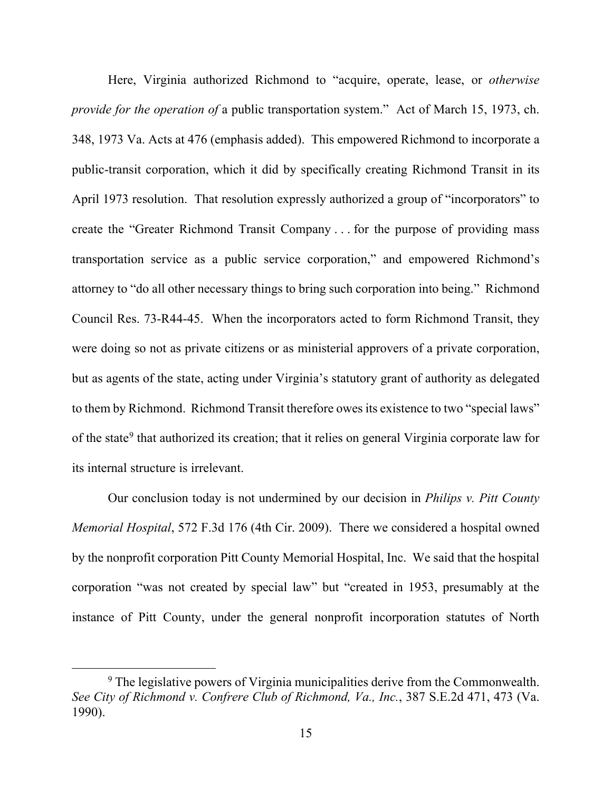Here, Virginia authorized Richmond to "acquire, operate, lease, or *otherwise provide for the operation of* a public transportation system." Act of March 15, 1973, ch. 348, 1973 Va. Acts at 476 (emphasis added). This empowered Richmond to incorporate a public-transit corporation, which it did by specifically creating Richmond Transit in its April 1973 resolution. That resolution expressly authorized a group of "incorporators" to create the "Greater Richmond Transit Company . . . for the purpose of providing mass transportation service as a public service corporation," and empowered Richmond's attorney to "do all other necessary things to bring such corporation into being." Richmond Council Res. 73-R44-45. When the incorporators acted to form Richmond Transit, they were doing so not as private citizens or as ministerial approvers of a private corporation, but as agents of the state, acting under Virginia's statutory grant of authority as delegated to them by Richmond. Richmond Transit therefore owes its existence to two "special laws" of the state<sup>[9](#page-14-0)</sup> that authorized its creation; that it relies on general Virginia corporate law for its internal structure is irrelevant.

Our conclusion today is not undermined by our decision in *Philips v. Pitt County Memorial Hospital*, 572 F.3d 176 (4th Cir. 2009). There we considered a hospital owned by the nonprofit corporation Pitt County Memorial Hospital, Inc. We said that the hospital corporation "was not created by special law" but "created in 1953, presumably at the instance of Pitt County, under the general nonprofit incorporation statutes of North

<span id="page-14-0"></span><sup>&</sup>lt;sup>9</sup> The legislative powers of Virginia municipalities derive from the Commonwealth. *See City of Richmond v. Confrere Club of Richmond, Va., Inc.*, 387 S.E.2d 471, 473 (Va. 1990).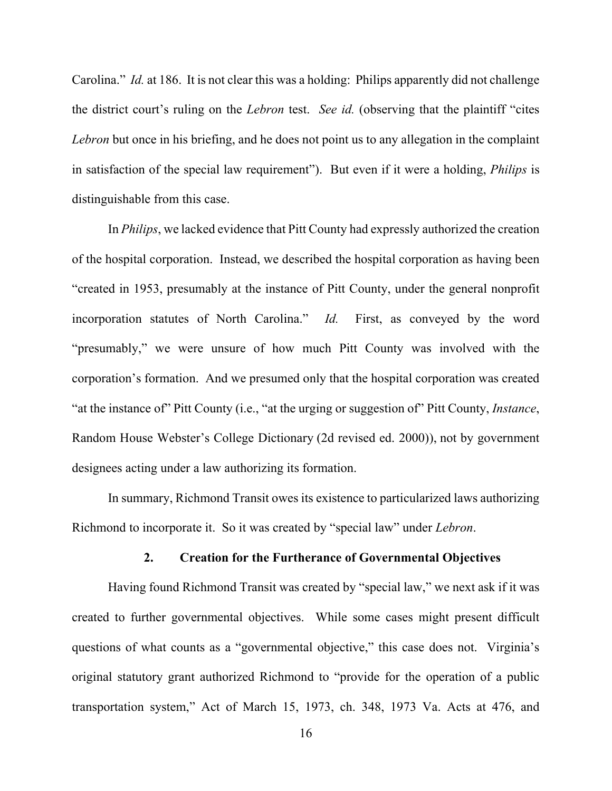Carolina." *Id.* at 186. It is not clear this was a holding: Philips apparently did not challenge the district court's ruling on the *Lebron* test. *See id.* (observing that the plaintiff "cites *Lebron* but once in his briefing, and he does not point us to any allegation in the complaint in satisfaction of the special law requirement"). But even if it were a holding, *Philips* is distinguishable from this case.

In *Philips*, we lacked evidence that Pitt County had expressly authorized the creation of the hospital corporation. Instead, we described the hospital corporation as having been "created in 1953, presumably at the instance of Pitt County, under the general nonprofit incorporation statutes of North Carolina." *Id.* First, as conveyed by the word "presumably," we were unsure of how much Pitt County was involved with the corporation's formation. And we presumed only that the hospital corporation was created "at the instance of" Pitt County (i.e., "at the urging or suggestion of" Pitt County, *Instance*, Random House Webster's College Dictionary (2d revised ed. 2000)), not by government designees acting under a law authorizing its formation.

In summary, Richmond Transit owes its existence to particularized laws authorizing Richmond to incorporate it. So it was created by "special law" under *Lebron*.

#### **2. Creation for the Furtherance of Governmental Objectives**

Having found Richmond Transit was created by "special law," we next ask if it was created to further governmental objectives. While some cases might present difficult questions of what counts as a "governmental objective," this case does not. Virginia's original statutory grant authorized Richmond to "provide for the operation of a public transportation system," Act of March 15, 1973, ch. 348, 1973 Va. Acts at 476, and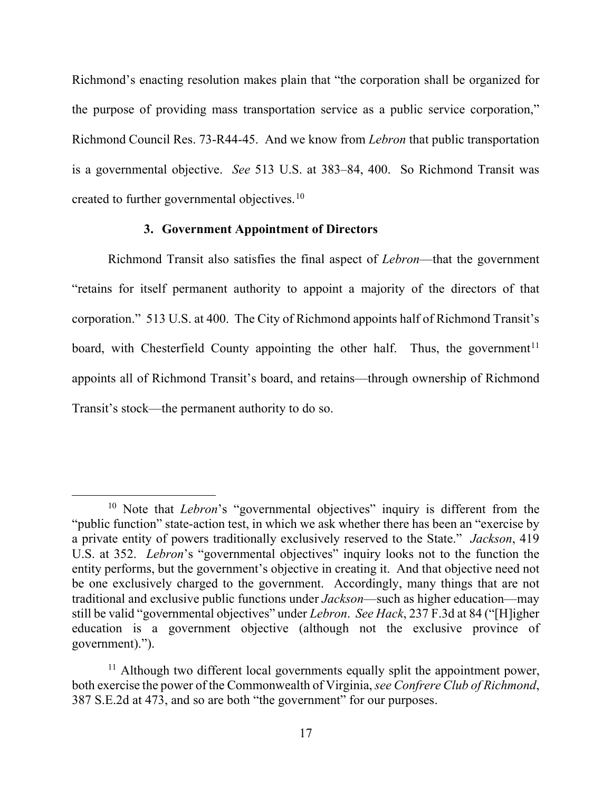Richmond's enacting resolution makes plain that "the corporation shall be organized for the purpose of providing mass transportation service as a public service corporation," Richmond Council Res. 73-R44-45. And we know from *Lebron* that public transportation is a governmental objective. *See* 513 U.S. at 383–84, 400. So Richmond Transit was created to further governmental objectives.<sup>[10](#page-16-0)</sup>

## **3. Government Appointment of Directors**

Richmond Transit also satisfies the final aspect of *Lebron*—that the government "retains for itself permanent authority to appoint a majority of the directors of that corporation." 513 U.S. at 400. The City of Richmond appoints half of Richmond Transit's board, with Chesterfield County appointing the other half. Thus, the government<sup>[11](#page-16-1)</sup> appoints all of Richmond Transit's board, and retains—through ownership of Richmond Transit's stock—the permanent authority to do so.

<span id="page-16-0"></span><sup>&</sup>lt;sup>10</sup> Note that *Lebron*'s "governmental objectives" inquiry is different from the "public function" state-action test, in which we ask whether there has been an "exercise by a private entity of powers traditionally exclusively reserved to the State." *Jackson*, 419 U.S. at 352. *Lebron*'s "governmental objectives" inquiry looks not to the function the entity performs, but the government's objective in creating it. And that objective need not be one exclusively charged to the government. Accordingly, many things that are not traditional and exclusive public functions under *Jackson*—such as higher education—may still be valid "governmental objectives" under *Lebron*. *See Hack*, 237 F.3d at 84 ("[H]igher education is a government objective (although not the exclusive province of government).").

<span id="page-16-1"></span><sup>&</sup>lt;sup>11</sup> Although two different local governments equally split the appointment power, both exercise the power of the Commonwealth of Virginia, *see Confrere Club of Richmond*, 387 S.E.2d at 473, and so are both "the government" for our purposes.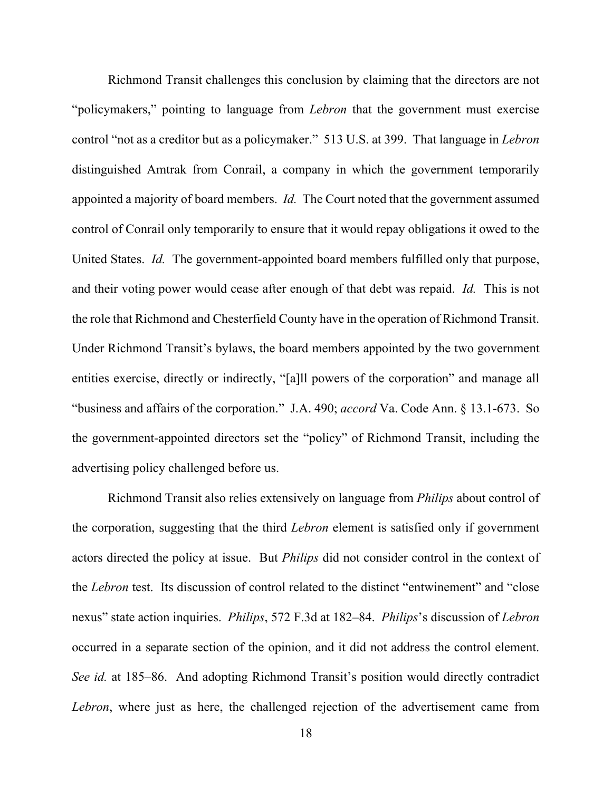Richmond Transit challenges this conclusion by claiming that the directors are not "policymakers," pointing to language from *Lebron* that the government must exercise control "not as a creditor but as a policymaker." 513 U.S. at 399. That language in *Lebron*  distinguished Amtrak from Conrail, a company in which the government temporarily appointed a majority of board members. *Id.* The Court noted that the government assumed control of Conrail only temporarily to ensure that it would repay obligations it owed to the United States. *Id.* The government-appointed board members fulfilled only that purpose, and their voting power would cease after enough of that debt was repaid. *Id.* This is not the role that Richmond and Chesterfield County have in the operation of Richmond Transit. Under Richmond Transit's bylaws, the board members appointed by the two government entities exercise, directly or indirectly, "[a]ll powers of the corporation" and manage all "business and affairs of the corporation." J.A. 490; *accord* Va. Code Ann. § 13.1-673. So the government-appointed directors set the "policy" of Richmond Transit, including the advertising policy challenged before us.

Richmond Transit also relies extensively on language from *Philips* about control of the corporation, suggesting that the third *Lebron* element is satisfied only if government actors directed the policy at issue. But *Philips* did not consider control in the context of the *Lebron* test. Its discussion of control related to the distinct "entwinement" and "close nexus" state action inquiries. *Philips*, 572 F.3d at 182–84. *Philips*'s discussion of *Lebron* occurred in a separate section of the opinion, and it did not address the control element. *See id.* at 185–86. And adopting Richmond Transit's position would directly contradict *Lebron*, where just as here, the challenged rejection of the advertisement came from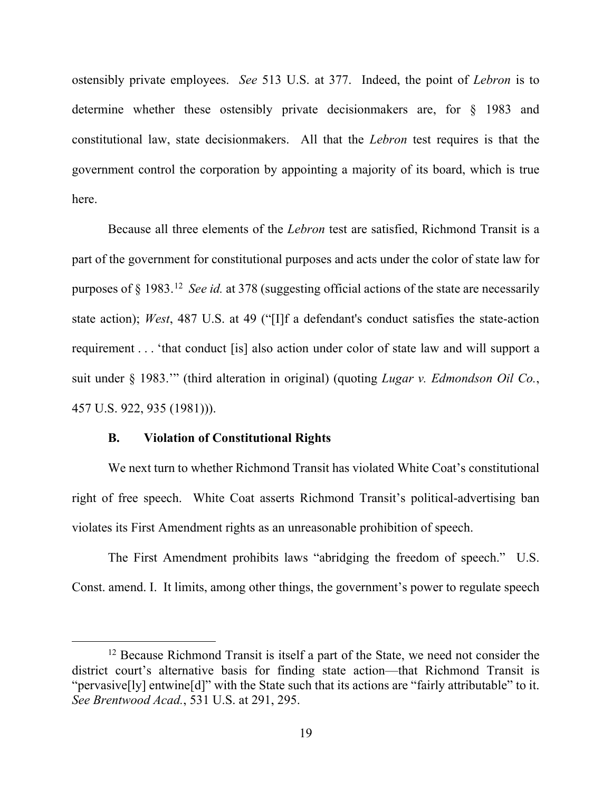ostensibly private employees. *See* 513 U.S. at 377. Indeed, the point of *Lebron* is to determine whether these ostensibly private decisionmakers are, for § 1983 and constitutional law, state decisionmakers. All that the *Lebron* test requires is that the government control the corporation by appointing a majority of its board, which is true here.

Because all three elements of the *Lebron* test are satisfied, Richmond Transit is a part of the government for constitutional purposes and acts under the color of state law for purposes of § 1983. [12](#page-18-0) *See id.* at 378 (suggesting official actions of the state are necessarily state action); *West*, 487 U.S. at 49 ("[I]f a defendant's conduct satisfies the state-action requirement . . . 'that conduct [is] also action under color of state law and will support a suit under § 1983.'" (third alteration in original) (quoting *Lugar v. Edmondson Oil Co.*, 457 U.S. 922, 935 (1981))).

## **B. Violation of Constitutional Rights**

We next turn to whether Richmond Transit has violated White Coat's constitutional right of free speech. White Coat asserts Richmond Transit's political-advertising ban violates its First Amendment rights as an unreasonable prohibition of speech.

The First Amendment prohibits laws "abridging the freedom of speech." U.S. Const. amend. I. It limits, among other things, the government's power to regulate speech

<span id="page-18-0"></span><sup>&</sup>lt;sup>12</sup> Because Richmond Transit is itself a part of the State, we need not consider the district court's alternative basis for finding state action—that Richmond Transit is "pervasive[ly] entwine[d]" with the State such that its actions are "fairly attributable" to it. *See Brentwood Acad.*, 531 U.S. at 291, 295.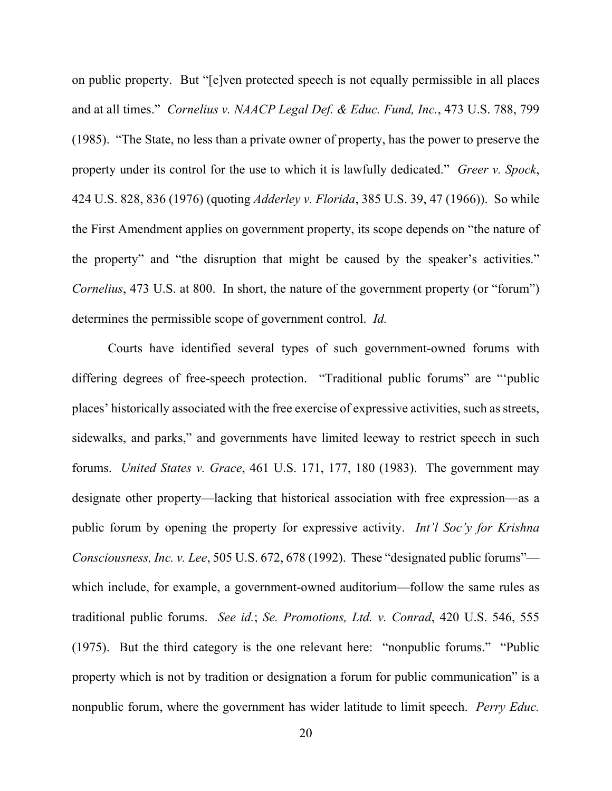on public property. But "[e]ven protected speech is not equally permissible in all places and at all times." *Cornelius v. NAACP Legal Def. & Educ. Fund, Inc.*, 473 U.S. 788, 799 (1985). "The State, no less than a private owner of property, has the power to preserve the property under its control for the use to which it is lawfully dedicated." *Greer v. Spock*, 424 U.S. 828, 836 (1976) (quoting *Adderley v. Florida*, 385 U.S. 39, 47 (1966)). So while the First Amendment applies on government property, its scope depends on "the nature of the property" and "the disruption that might be caused by the speaker's activities." *Cornelius*, 473 U.S. at 800. In short, the nature of the government property (or "forum") determines the permissible scope of government control. *Id.*

Courts have identified several types of such government-owned forums with differing degrees of free-speech protection. "Traditional public forums" are "'public places' historically associated with the free exercise of expressive activities, such as streets, sidewalks, and parks," and governments have limited leeway to restrict speech in such forums. *United States v. Grace*, 461 U.S. 171, 177, 180 (1983). The government may designate other property—lacking that historical association with free expression—as a public forum by opening the property for expressive activity. *Int'l Soc'y for Krishna Consciousness, Inc. v. Lee*, 505 U.S. 672, 678 (1992). These "designated public forums" which include, for example, a government-owned auditorium—follow the same rules as traditional public forums. *See id.*; *Se. Promotions, Ltd. v. Conrad*, 420 U.S. 546, 555 (1975). But the third category is the one relevant here: "nonpublic forums." "Public property which is not by tradition or designation a forum for public communication" is a nonpublic forum, where the government has wider latitude to limit speech. *Perry Educ.*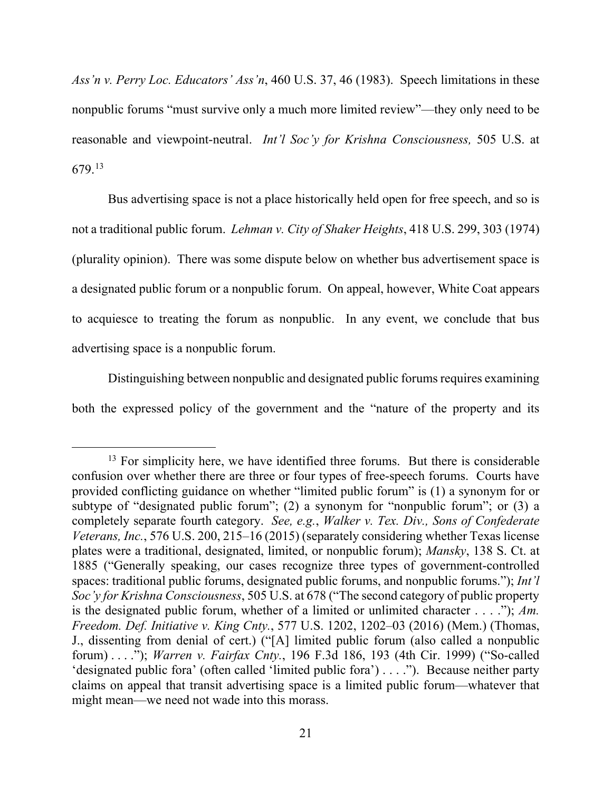*Ass'n v. Perry Loc. Educators' Ass'n*, 460 U.S. 37, 46 (1983). Speech limitations in these nonpublic forums "must survive only a much more limited review"—they only need to be reasonable and viewpoint-neutral. *Int'l Soc'y for Krishna Consciousness,* 505 U.S. at 679. [13](#page-20-0)

Bus advertising space is not a place historically held open for free speech, and so is not a traditional public forum. *Lehman v. City of Shaker Heights*, 418 U.S. 299, 303 (1974) (plurality opinion). There was some dispute below on whether bus advertisement space is a designated public forum or a nonpublic forum. On appeal, however, White Coat appears to acquiesce to treating the forum as nonpublic. In any event, we conclude that bus advertising space is a nonpublic forum.

Distinguishing between nonpublic and designated public forums requires examining both the expressed policy of the government and the "nature of the property and its

<span id="page-20-0"></span> $13$  For simplicity here, we have identified three forums. But there is considerable confusion over whether there are three or four types of free-speech forums. Courts have provided conflicting guidance on whether "limited public forum" is (1) a synonym for or subtype of "designated public forum"; (2) a synonym for "nonpublic forum"; or (3) a completely separate fourth category. *See, e.g.*, *Walker v. Tex. Div., Sons of Confederate Veterans, Inc.*, 576 U.S. 200, 215–16 (2015) (separately considering whether Texas license plates were a traditional, designated, limited, or nonpublic forum); *Mansky*, 138 S. Ct. at 1885 ("Generally speaking, our cases recognize three types of government-controlled spaces: traditional public forums, designated public forums, and nonpublic forums."); *Int'l Soc'y for Krishna Consciousness*, 505 U.S. at 678 ("The second category of public property is the designated public forum, whether of a limited or unlimited character . . . ."); *Am. Freedom. Def. Initiative v. King Cnty.*, 577 U.S. 1202, 1202–03 (2016) (Mem.) (Thomas, J., dissenting from denial of cert.) ("[A] limited public forum (also called a nonpublic forum) . . . ."); *Warren v. Fairfax Cnty.*, 196 F.3d 186, 193 (4th Cir. 1999) ("So-called 'designated public fora' (often called 'limited public fora') . . . ."). Because neither party claims on appeal that transit advertising space is a limited public forum—whatever that might mean—we need not wade into this morass.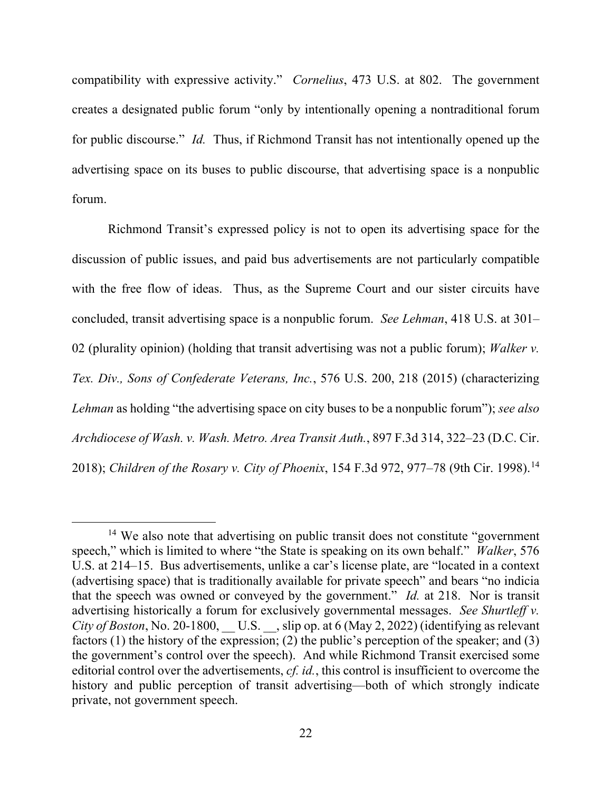compatibility with expressive activity." *Cornelius*, 473 U.S. at 802. The government creates a designated public forum "only by intentionally opening a nontraditional forum for public discourse." *Id.* Thus, if Richmond Transit has not intentionally opened up the advertising space on its buses to public discourse, that advertising space is a nonpublic forum.

Richmond Transit's expressed policy is not to open its advertising space for the discussion of public issues, and paid bus advertisements are not particularly compatible with the free flow of ideas. Thus, as the Supreme Court and our sister circuits have concluded, transit advertising space is a nonpublic forum. *See Lehman*, 418 U.S. at 301– 02 (plurality opinion) (holding that transit advertising was not a public forum); *Walker v. Tex. Div., Sons of Confederate Veterans, Inc.*, 576 U.S. 200, 218 (2015) (characterizing *Lehman* as holding "the advertising space on city buses to be a nonpublic forum"); *see also Archdiocese of Wash. v. Wash. Metro. Area Transit Auth.*, 897 F.3d 314, 322–23 (D.C. Cir. 2018); *Children of the Rosary v. City of Phoenix*, 154 F.3d 972, 977–78 (9th Cir. 1998). [14](#page-21-0)

<span id="page-21-0"></span><sup>&</sup>lt;sup>14</sup> We also note that advertising on public transit does not constitute "government" speech," which is limited to where "the State is speaking on its own behalf." *Walker*, 576 U.S. at 214–15. Bus advertisements, unlike a car's license plate, are "located in a context (advertising space) that is traditionally available for private speech" and bears "no indicia that the speech was owned or conveyed by the government." *Id.* at 218. Nor is transit advertising historically a forum for exclusively governmental messages. *See Shurtleff v. City of Boston*, No. 20-1800, U.S. Slip op. at 6 (May 2, 2022) (identifying as relevant factors (1) the history of the expression; (2) the public's perception of the speaker; and (3) the government's control over the speech). And while Richmond Transit exercised some editorial control over the advertisements, *cf. id.*, this control is insufficient to overcome the history and public perception of transit advertising—both of which strongly indicate private, not government speech.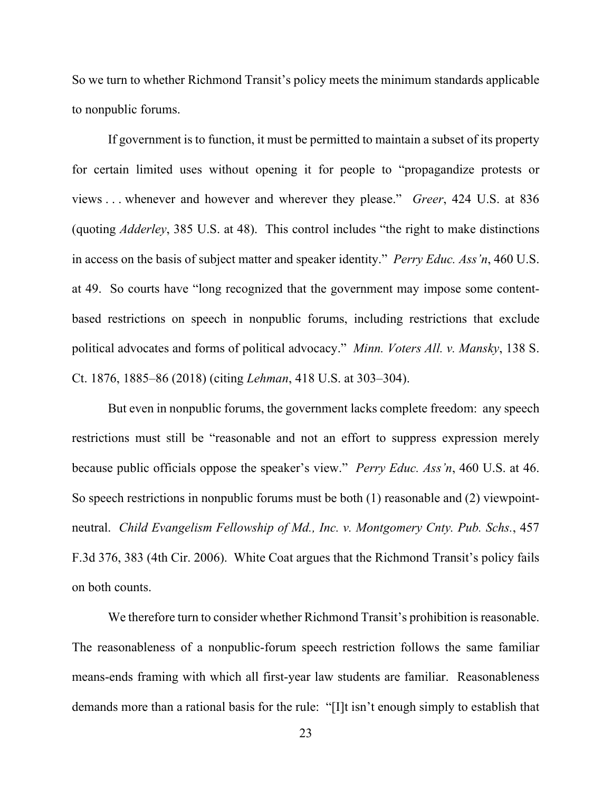So we turn to whether Richmond Transit's policy meets the minimum standards applicable to nonpublic forums.

If government is to function, it must be permitted to maintain a subset of its property for certain limited uses without opening it for people to "propagandize protests or views . . . whenever and however and wherever they please." *Greer*, 424 U.S. at 836 (quoting *Adderley*, 385 U.S. at 48). This control includes "the right to make distinctions in access on the basis of subject matter and speaker identity." *Perry Educ. Ass'n*, 460 U.S. at 49. So courts have "long recognized that the government may impose some contentbased restrictions on speech in nonpublic forums, including restrictions that exclude political advocates and forms of political advocacy." *Minn. Voters All. v. Mansky*, 138 S. Ct. 1876, 1885–86 (2018) (citing *Lehman*, 418 U.S. at 303–304).

But even in nonpublic forums, the government lacks complete freedom: any speech restrictions must still be "reasonable and not an effort to suppress expression merely because public officials oppose the speaker's view." *Perry Educ. Ass'n*, 460 U.S. at 46. So speech restrictions in nonpublic forums must be both (1) reasonable and (2) viewpointneutral. *Child Evangelism Fellowship of Md., Inc. v. Montgomery Cnty. Pub. Schs.*, 457 F.3d 376, 383 (4th Cir. 2006). White Coat argues that the Richmond Transit's policy fails on both counts.

We therefore turn to consider whether Richmond Transit's prohibition is reasonable. The reasonableness of a nonpublic-forum speech restriction follows the same familiar means-ends framing with which all first-year law students are familiar. Reasonableness demands more than a rational basis for the rule: "[I]t isn't enough simply to establish that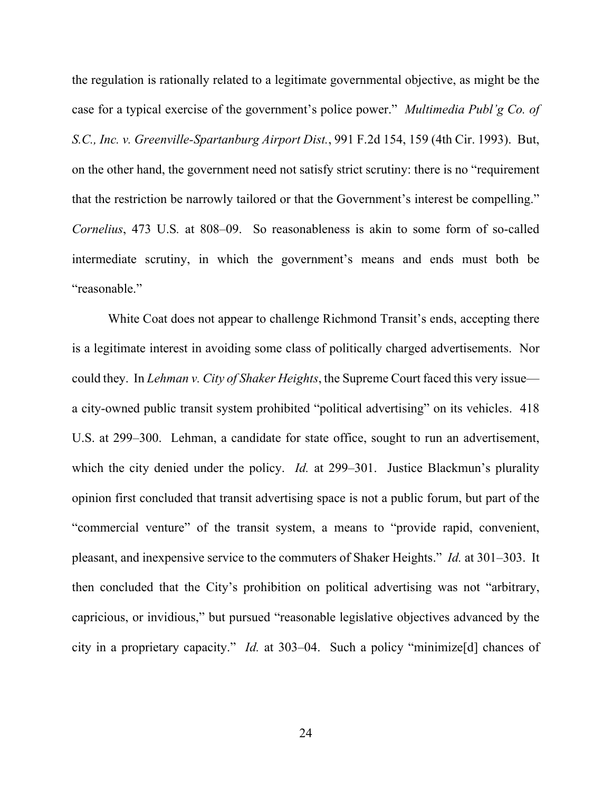the regulation is rationally related to a legitimate governmental objective, as might be the case for a typical exercise of the government's police power." *Multimedia Publ'g Co. of S.C., Inc. v. Greenville-Spartanburg Airport Dist.*, 991 F.2d 154, 159 (4th Cir. 1993). But, on the other hand, the government need not satisfy strict scrutiny: there is no "requirement that the restriction be narrowly tailored or that the Government's interest be compelling." *Cornelius*, 473 U.S*.* at 808–09. So reasonableness is akin to some form of so-called intermediate scrutiny, in which the government's means and ends must both be "reasonable."

White Coat does not appear to challenge Richmond Transit's ends, accepting there is a legitimate interest in avoiding some class of politically charged advertisements. Nor could they. In *Lehman v. City of Shaker Heights*, the Supreme Court faced this very issue a city-owned public transit system prohibited "political advertising" on its vehicles. 418 U.S. at 299–300. Lehman, a candidate for state office, sought to run an advertisement, which the city denied under the policy. *Id.* at 299–301. Justice Blackmun's plurality opinion first concluded that transit advertising space is not a public forum, but part of the "commercial venture" of the transit system, a means to "provide rapid, convenient, pleasant, and inexpensive service to the commuters of Shaker Heights." *Id.* at 301–303. It then concluded that the City's prohibition on political advertising was not "arbitrary, capricious, or invidious," but pursued "reasonable legislative objectives advanced by the city in a proprietary capacity." *Id.* at 303–04. Such a policy "minimize[d] chances of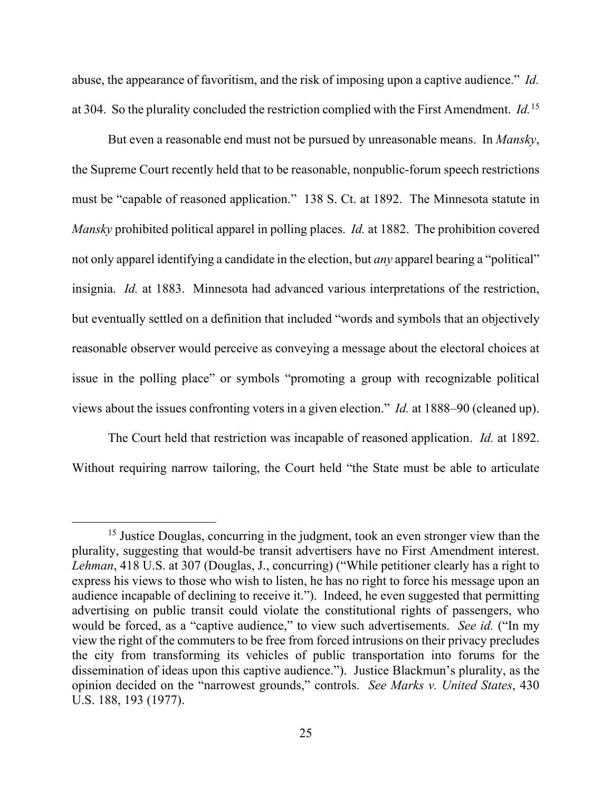abuse, the appearance of favoritism, and the risk of imposing upon a captive audience." *Id.* at 304. So the plurality concluded the restriction complied with the First Amendment. *Id.*[15](#page-24-0)

But even a reasonable end must not be pursued by unreasonable means. In *Mansky*, the Supreme Court recently held that to be reasonable, nonpublic-forum speech restrictions must be "capable of reasoned application." 138 S. Ct. at 1892. The Minnesota statute in *Mansky* prohibited political apparel in polling places. *Id.* at 1882. The prohibition covered not only apparel identifying a candidate in the election, but *any* apparel bearing a "political" insignia. *Id.* at 1883. Minnesota had advanced various interpretations of the restriction, but eventually settled on a definition that included "words and symbols that an objectively reasonable observer would perceive as conveying a message about the electoral choices at issue in the polling place" or symbols "promoting a group with recognizable political views about the issues confronting voters in a given election." *Id.* at 1888–90 (cleaned up).

The Court held that restriction was incapable of reasoned application. *Id.* at 1892. Without requiring narrow tailoring, the Court held "the State must be able to articulate

<span id="page-24-0"></span><sup>&</sup>lt;sup>15</sup> Justice Douglas, concurring in the judgment, took an even stronger view than the plurality, suggesting that would-be transit advertisers have no First Amendment interest. *Lehman*, 418 U.S. at 307 (Douglas, J., concurring) ("While petitioner clearly has a right to express his views to those who wish to listen, he has no right to force his message upon an audience incapable of declining to receive it."). Indeed, he even suggested that permitting advertising on public transit could violate the constitutional rights of passengers, who would be forced, as a "captive audience," to view such advertisements. *See id.* ("In my view the right of the commuters to be free from forced intrusions on their privacy precludes the city from transforming its vehicles of public transportation into forums for the dissemination of ideas upon this captive audience."). Justice Blackmun's plurality, as the opinion decided on the "narrowest grounds," controls. *See Marks v. United States*, 430 U.S. 188, 193 (1977).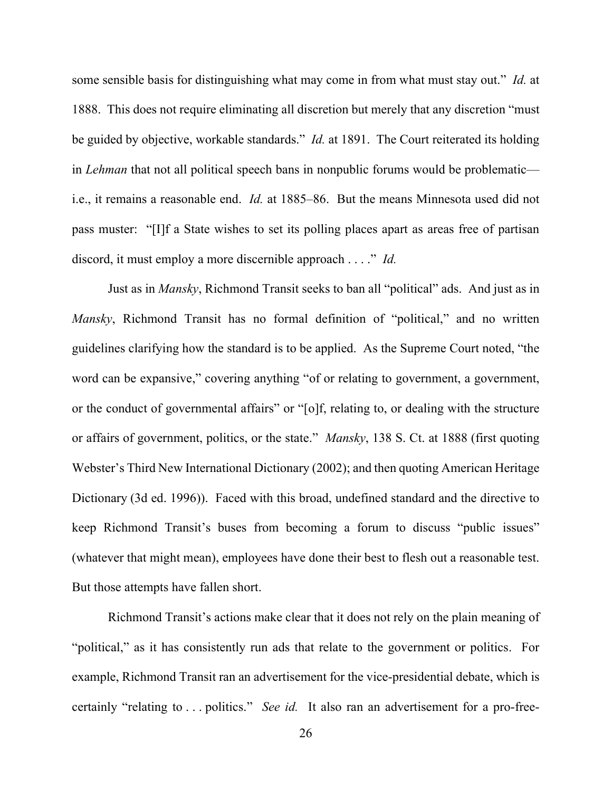some sensible basis for distinguishing what may come in from what must stay out." *Id.* at 1888. This does not require eliminating all discretion but merely that any discretion "must be guided by objective, workable standards." *Id.* at 1891. The Court reiterated its holding in *Lehman* that not all political speech bans in nonpublic forums would be problematic i.e., it remains a reasonable end. *Id.* at 1885–86. But the means Minnesota used did not pass muster: "[I]f a State wishes to set its polling places apart as areas free of partisan discord, it must employ a more discernible approach . . . ." *Id.*

Just as in *Mansky*, Richmond Transit seeks to ban all "political" ads. And just as in *Mansky*, Richmond Transit has no formal definition of "political," and no written guidelines clarifying how the standard is to be applied. As the Supreme Court noted, "the word can be expansive," covering anything "of or relating to government, a government, or the conduct of governmental affairs" or "[o]f, relating to, or dealing with the structure or affairs of government, politics, or the state." *Mansky*, 138 S. Ct. at 1888 (first quoting Webster's Third New International Dictionary (2002); and then quoting American Heritage Dictionary (3d ed. 1996)). Faced with this broad, undefined standard and the directive to keep Richmond Transit's buses from becoming a forum to discuss "public issues" (whatever that might mean), employees have done their best to flesh out a reasonable test. But those attempts have fallen short.

Richmond Transit's actions make clear that it does not rely on the plain meaning of "political," as it has consistently run ads that relate to the government or politics. For example, Richmond Transit ran an advertisement for the vice-presidential debate, which is certainly "relating to . . . politics." *See id.* It also ran an advertisement for a pro-free-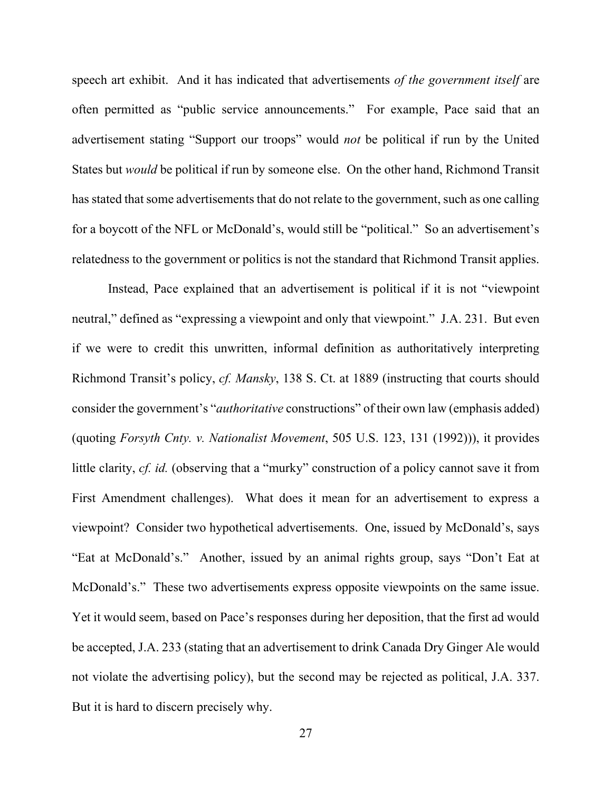speech art exhibit. And it has indicated that advertisements *of the government itself* are often permitted as "public service announcements." For example, Pace said that an advertisement stating "Support our troops" would *not* be political if run by the United States but *would* be political if run by someone else. On the other hand, Richmond Transit has stated that some advertisements that do not relate to the government, such as one calling for a boycott of the NFL or McDonald's, would still be "political." So an advertisement's relatedness to the government or politics is not the standard that Richmond Transit applies.

Instead, Pace explained that an advertisement is political if it is not "viewpoint neutral," defined as "expressing a viewpoint and only that viewpoint." J.A. 231. But even if we were to credit this unwritten, informal definition as authoritatively interpreting Richmond Transit's policy, *cf. Mansky*, 138 S. Ct. at 1889 (instructing that courts should consider the government's "*authoritative* constructions" of their own law (emphasis added) (quoting *Forsyth Cnty. v. Nationalist Movement*, 505 U.S. 123, 131 (1992))), it provides little clarity, *cf. id.* (observing that a "murky" construction of a policy cannot save it from First Amendment challenges). What does it mean for an advertisement to express a viewpoint? Consider two hypothetical advertisements. One, issued by McDonald's, says "Eat at McDonald's." Another, issued by an animal rights group, says "Don't Eat at McDonald's." These two advertisements express opposite viewpoints on the same issue. Yet it would seem, based on Pace's responses during her deposition, that the first ad would be accepted, J.A. 233 (stating that an advertisement to drink Canada Dry Ginger Ale would not violate the advertising policy), but the second may be rejected as political, J.A. 337. But it is hard to discern precisely why.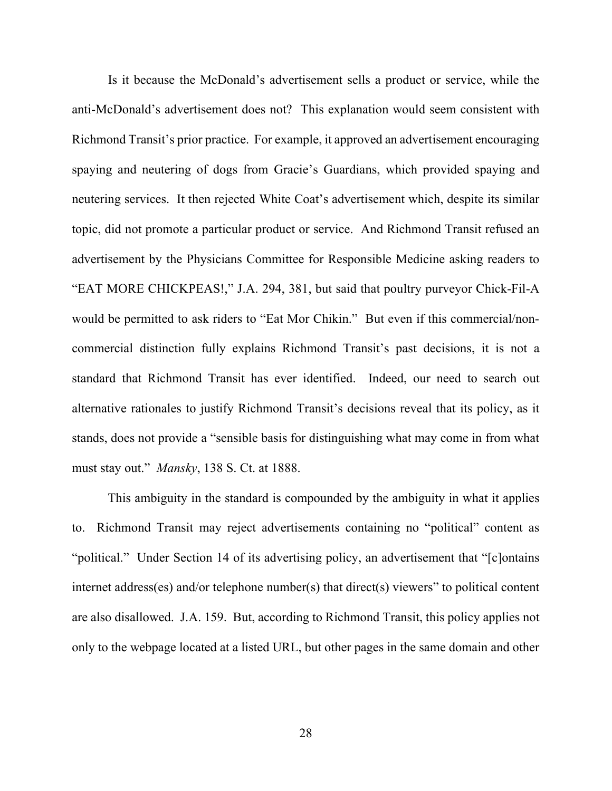Is it because the McDonald's advertisement sells a product or service, while the anti-McDonald's advertisement does not? This explanation would seem consistent with Richmond Transit's prior practice. For example, it approved an advertisement encouraging spaying and neutering of dogs from Gracie's Guardians, which provided spaying and neutering services. It then rejected White Coat's advertisement which, despite its similar topic, did not promote a particular product or service. And Richmond Transit refused an advertisement by the Physicians Committee for Responsible Medicine asking readers to "EAT MORE CHICKPEAS!," J.A. 294, 381, but said that poultry purveyor Chick-Fil-A would be permitted to ask riders to "Eat Mor Chikin." But even if this commercial/noncommercial distinction fully explains Richmond Transit's past decisions, it is not a standard that Richmond Transit has ever identified. Indeed, our need to search out alternative rationales to justify Richmond Transit's decisions reveal that its policy, as it stands, does not provide a "sensible basis for distinguishing what may come in from what must stay out." *Mansky*, 138 S. Ct. at 1888.

This ambiguity in the standard is compounded by the ambiguity in what it applies to. Richmond Transit may reject advertisements containing no "political" content as "political." Under Section 14 of its advertising policy, an advertisement that "[c]ontains internet address(es) and/or telephone number(s) that direct(s) viewers" to political content are also disallowed. J.A. 159. But, according to Richmond Transit, this policy applies not only to the webpage located at a listed URL, but other pages in the same domain and other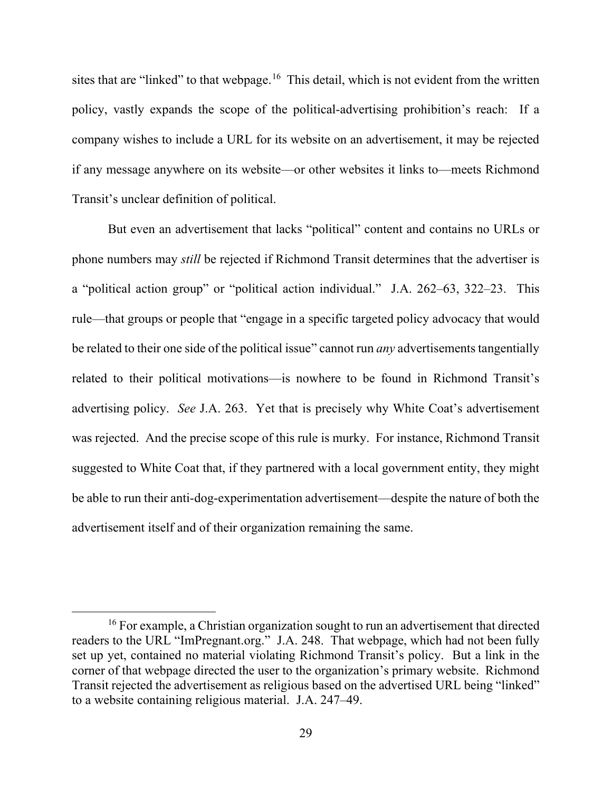sites that are "linked" to that webpage.<sup>[16](#page-28-0)</sup> This detail, which is not evident from the written policy, vastly expands the scope of the political-advertising prohibition's reach: If a company wishes to include a URL for its website on an advertisement, it may be rejected if any message anywhere on its website—or other websites it links to—meets Richmond Transit's unclear definition of political.

But even an advertisement that lacks "political" content and contains no URLs or phone numbers may *still* be rejected if Richmond Transit determines that the advertiser is a "political action group" or "political action individual." J.A. 262–63, 322–23. This rule—that groups or people that "engage in a specific targeted policy advocacy that would be related to their one side of the political issue" cannot run *any* advertisements tangentially related to their political motivations—is nowhere to be found in Richmond Transit's advertising policy. *See* J.A. 263. Yet that is precisely why White Coat's advertisement was rejected. And the precise scope of this rule is murky. For instance, Richmond Transit suggested to White Coat that, if they partnered with a local government entity, they might be able to run their anti-dog-experimentation advertisement—despite the nature of both the advertisement itself and of their organization remaining the same.

<span id="page-28-0"></span><sup>&</sup>lt;sup>16</sup> For example, a Christian organization sought to run an advertisement that directed readers to the URL "ImPregnant.org." J.A. 248. That webpage, which had not been fully set up yet, contained no material violating Richmond Transit's policy. But a link in the corner of that webpage directed the user to the organization's primary website. Richmond Transit rejected the advertisement as religious based on the advertised URL being "linked" to a website containing religious material. J.A. 247–49.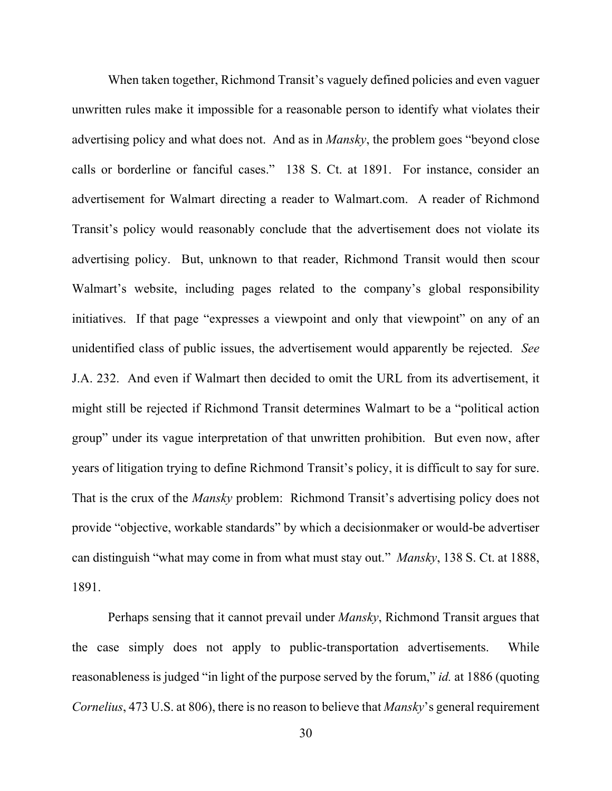When taken together, Richmond Transit's vaguely defined policies and even vaguer unwritten rules make it impossible for a reasonable person to identify what violates their advertising policy and what does not. And as in *Mansky*, the problem goes "beyond close calls or borderline or fanciful cases." 138 S. Ct. at 1891. For instance, consider an advertisement for Walmart directing a reader to Walmart.com. A reader of Richmond Transit's policy would reasonably conclude that the advertisement does not violate its advertising policy. But, unknown to that reader, Richmond Transit would then scour Walmart's website, including pages related to the company's global responsibility initiatives. If that page "expresses a viewpoint and only that viewpoint" on any of an unidentified class of public issues, the advertisement would apparently be rejected. *See*  J.A. 232. And even if Walmart then decided to omit the URL from its advertisement, it might still be rejected if Richmond Transit determines Walmart to be a "political action group" under its vague interpretation of that unwritten prohibition. But even now, after years of litigation trying to define Richmond Transit's policy, it is difficult to say for sure. That is the crux of the *Mansky* problem: Richmond Transit's advertising policy does not provide "objective, workable standards" by which a decisionmaker or would-be advertiser can distinguish "what may come in from what must stay out." *Mansky*, 138 S. Ct. at 1888, 1891.

Perhaps sensing that it cannot prevail under *Mansky*, Richmond Transit argues that the case simply does not apply to public-transportation advertisements. While reasonableness is judged "in light of the purpose served by the forum," *id.* at 1886 (quoting *Cornelius*, 473 U.S. at 806), there is no reason to believe that *Mansky*'s general requirement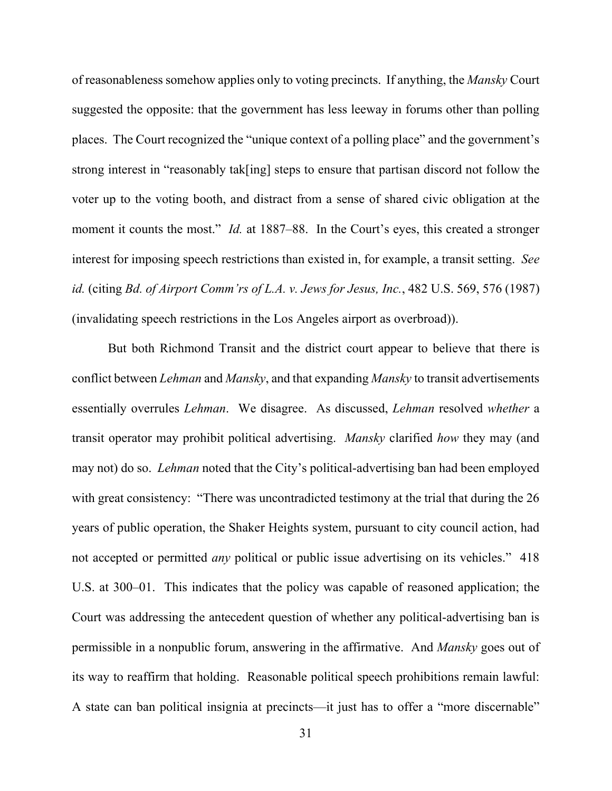of reasonableness somehow applies only to voting precincts. If anything, the *Mansky* Court suggested the opposite: that the government has less leeway in forums other than polling places. The Court recognized the "unique context of a polling place" and the government's strong interest in "reasonably tak[ing] steps to ensure that partisan discord not follow the voter up to the voting booth, and distract from a sense of shared civic obligation at the moment it counts the most." *Id.* at 1887–88. In the Court's eyes, this created a stronger interest for imposing speech restrictions than existed in, for example, a transit setting. *See id.* (citing *Bd. of Airport Comm'rs of L.A. v. Jews for Jesus, Inc.*, 482 U.S. 569, 576 (1987) (invalidating speech restrictions in the Los Angeles airport as overbroad)).

But both Richmond Transit and the district court appear to believe that there is conflict between *Lehman* and *Mansky*, and that expanding *Mansky* to transit advertisements essentially overrules *Lehman*. We disagree. As discussed, *Lehman* resolved *whether* a transit operator may prohibit political advertising. *Mansky* clarified *how* they may (and may not) do so. *Lehman* noted that the City's political-advertising ban had been employed with great consistency: "There was uncontradicted testimony at the trial that during the 26 years of public operation, the Shaker Heights system, pursuant to city council action, had not accepted or permitted *any* political or public issue advertising on its vehicles." 418 U.S. at 300–01. This indicates that the policy was capable of reasoned application; the Court was addressing the antecedent question of whether any political-advertising ban is permissible in a nonpublic forum, answering in the affirmative. And *Mansky* goes out of its way to reaffirm that holding. Reasonable political speech prohibitions remain lawful: A state can ban political insignia at precincts—it just has to offer a "more discernable"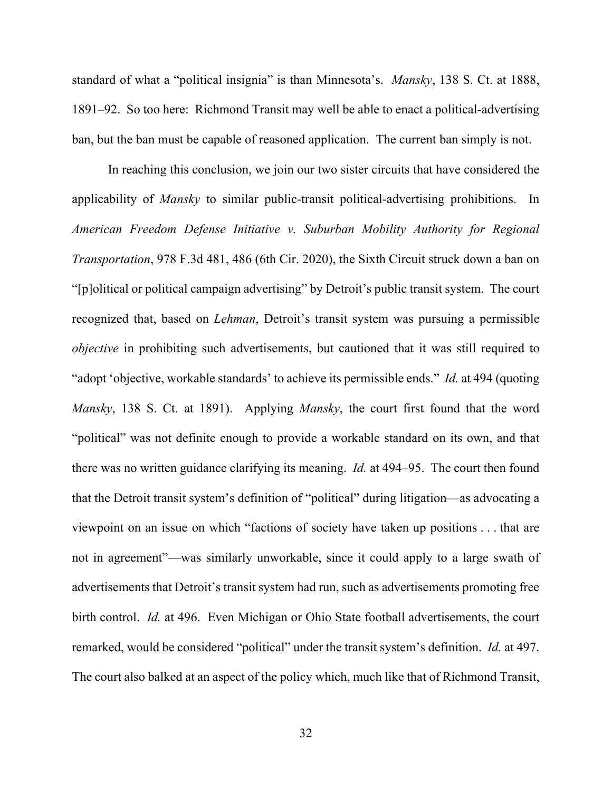standard of what a "political insignia" is than Minnesota's. *Mansky*, 138 S. Ct. at 1888, 1891–92. So too here: Richmond Transit may well be able to enact a political-advertising ban, but the ban must be capable of reasoned application. The current ban simply is not.

In reaching this conclusion, we join our two sister circuits that have considered the applicability of *Mansky* to similar public-transit political-advertising prohibitions. In *American Freedom Defense Initiative v. Suburban Mobility Authority for Regional Transportation*, 978 F.3d 481, 486 (6th Cir. 2020), the Sixth Circuit struck down a ban on "[p]olitical or political campaign advertising" by Detroit's public transit system. The court recognized that, based on *Lehman*, Detroit's transit system was pursuing a permissible *objective* in prohibiting such advertisements, but cautioned that it was still required to "adopt 'objective, workable standards' to achieve its permissible ends." *Id.* at 494 (quoting *Mansky*, 138 S. Ct. at 1891). Applying *Mansky*, the court first found that the word "political" was not definite enough to provide a workable standard on its own, and that there was no written guidance clarifying its meaning. *Id.* at 494–95. The court then found that the Detroit transit system's definition of "political" during litigation—as advocating a viewpoint on an issue on which "factions of society have taken up positions . . . that are not in agreement"—was similarly unworkable, since it could apply to a large swath of advertisements that Detroit's transit system had run, such as advertisements promoting free birth control. *Id.* at 496. Even Michigan or Ohio State football advertisements, the court remarked, would be considered "political" under the transit system's definition. *Id.* at 497. The court also balked at an aspect of the policy which, much like that of Richmond Transit,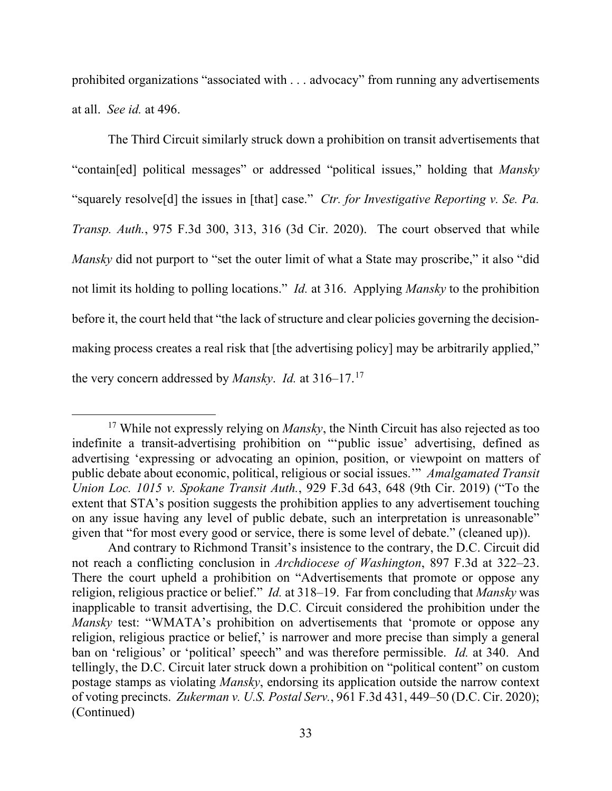prohibited organizations "associated with . . . advocacy" from running any advertisements at all. *See id.* at 496.

The Third Circuit similarly struck down a prohibition on transit advertisements that "contain[ed] political messages" or addressed "political issues," holding that *Mansky* "squarely resolve[d] the issues in [that] case." *Ctr. for Investigative Reporting v. Se. Pa. Transp. Auth.*, 975 F.3d 300, 313, 316 (3d Cir. 2020). The court observed that while *Mansky* did not purport to "set the outer limit of what a State may proscribe," it also "did not limit its holding to polling locations." *Id.* at 316. Applying *Mansky* to the prohibition before it, the court held that "the lack of structure and clear policies governing the decisionmaking process creates a real risk that [the advertising policy] may be arbitrarily applied," the very concern addressed by *Mansky*. *Id.* at 316–17.[17](#page-32-0)

<span id="page-32-0"></span><sup>17</sup> While not expressly relying on *Mansky*, the Ninth Circuit has also rejected as too indefinite a transit-advertising prohibition on "'public issue' advertising, defined as advertising 'expressing or advocating an opinion, position, or viewpoint on matters of public debate about economic, political, religious or social issues.'" *Amalgamated Transit Union Loc. 1015 v. Spokane Transit Auth.*, 929 F.3d 643, 648 (9th Cir. 2019) ("To the extent that STA's position suggests the prohibition applies to any advertisement touching on any issue having any level of public debate, such an interpretation is unreasonable" given that "for most every good or service, there is some level of debate." (cleaned up)).

And contrary to Richmond Transit's insistence to the contrary, the D.C. Circuit did not reach a conflicting conclusion in *Archdiocese of Washington*, 897 F.3d at 322–23. There the court upheld a prohibition on "Advertisements that promote or oppose any religion, religious practice or belief." *Id.* at 318–19. Far from concluding that *Mansky* was inapplicable to transit advertising, the D.C. Circuit considered the prohibition under the *Mansky* test: "WMATA's prohibition on advertisements that 'promote or oppose any religion, religious practice or belief,' is narrower and more precise than simply a general ban on 'religious' or 'political' speech" and was therefore permissible. *Id.* at 340. And tellingly, the D.C. Circuit later struck down a prohibition on "political content" on custom postage stamps as violating *Mansky*, endorsing its application outside the narrow context of voting precincts. *Zukerman v. U.S. Postal Serv.*, 961 F.3d 431, 449–50 (D.C. Cir. 2020); (Continued)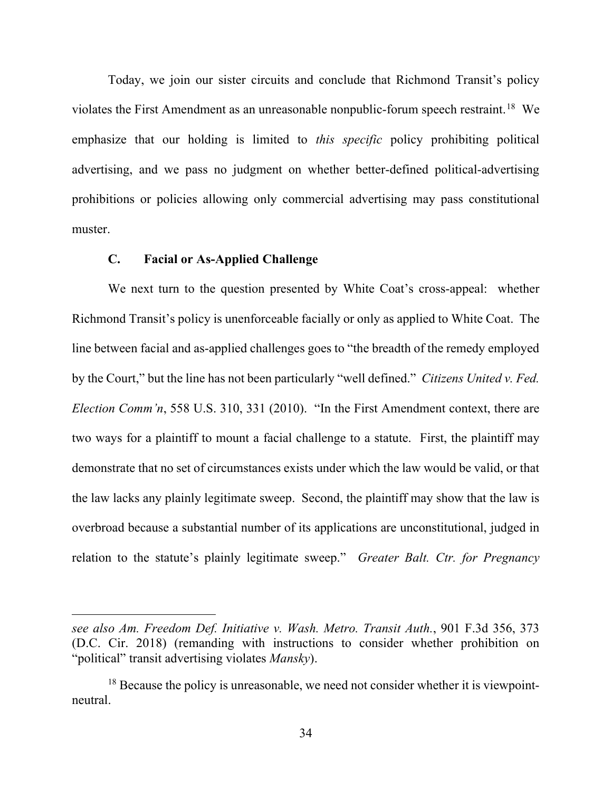Today, we join our sister circuits and conclude that Richmond Transit's policy violates the First Amendment as an unreasonable nonpublic-forum speech restraint.<sup>[18](#page-33-0)</sup> We emphasize that our holding is limited to *this specific* policy prohibiting political advertising, and we pass no judgment on whether better-defined political-advertising prohibitions or policies allowing only commercial advertising may pass constitutional muster.

## **C. Facial or As-Applied Challenge**

We next turn to the question presented by White Coat's cross-appeal: whether Richmond Transit's policy is unenforceable facially or only as applied to White Coat. The line between facial and as-applied challenges goes to "the breadth of the remedy employed by the Court," but the line has not been particularly "well defined." *Citizens United v. Fed. Election Comm'n*, 558 U.S. 310, 331 (2010). "In the First Amendment context, there are two ways for a plaintiff to mount a facial challenge to a statute. First, the plaintiff may demonstrate that no set of circumstances exists under which the law would be valid, or that the law lacks any plainly legitimate sweep. Second, the plaintiff may show that the law is overbroad because a substantial number of its applications are unconstitutional, judged in relation to the statute's plainly legitimate sweep." *Greater Balt. Ctr. for Pregnancy* 

*see also Am. Freedom Def. Initiative v. Wash. Metro. Transit Auth.*, 901 F.3d 356, 373 (D.C. Cir. 2018) (remanding with instructions to consider whether prohibition on "political" transit advertising violates *Mansky*).

<span id="page-33-0"></span> $18$  Because the policy is unreasonable, we need not consider whether it is viewpointneutral.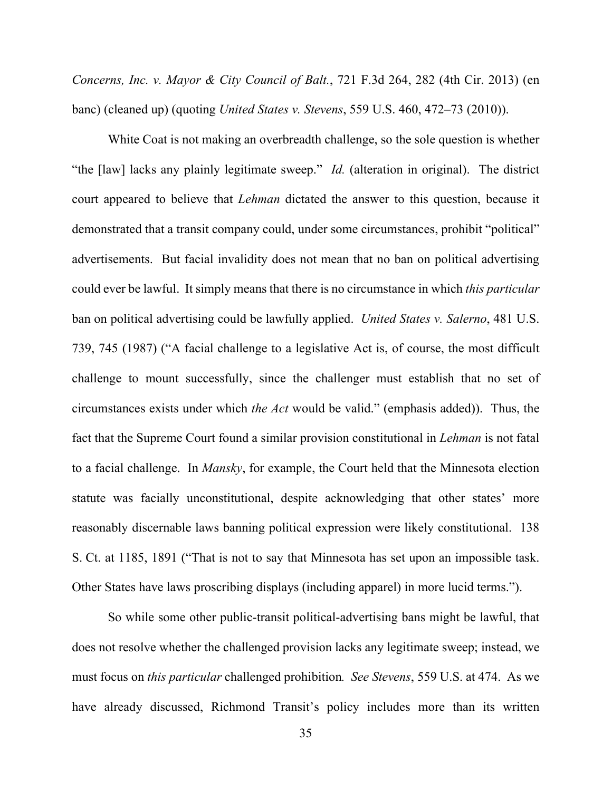*Concerns, Inc. v. Mayor & City Council of Balt.*, 721 F.3d 264, 282 (4th Cir. 2013) (en banc) (cleaned up) (quoting *United States v. Stevens*, 559 U.S. 460, 472–73 (2010)).

White Coat is not making an overbreadth challenge, so the sole question is whether "the [law] lacks any plainly legitimate sweep." *Id.* (alteration in original). The district court appeared to believe that *Lehman* dictated the answer to this question, because it demonstrated that a transit company could, under some circumstances, prohibit "political" advertisements. But facial invalidity does not mean that no ban on political advertising could ever be lawful. It simply means that there is no circumstance in which *this particular* ban on political advertising could be lawfully applied. *United States v. Salerno*, 481 U.S. 739, 745 (1987) ("A facial challenge to a legislative Act is, of course, the most difficult challenge to mount successfully, since the challenger must establish that no set of circumstances exists under which *the Act* would be valid." (emphasis added)). Thus, the fact that the Supreme Court found a similar provision constitutional in *Lehman* is not fatal to a facial challenge. In *Mansky*, for example, the Court held that the Minnesota election statute was facially unconstitutional, despite acknowledging that other states' more reasonably discernable laws banning political expression were likely constitutional. 138 S. Ct. at 1185, 1891 ("That is not to say that Minnesota has set upon an impossible task. Other States have laws proscribing displays (including apparel) in more lucid terms.").

So while some other public-transit political-advertising bans might be lawful, that does not resolve whether the challenged provision lacks any legitimate sweep; instead, we must focus on *this particular* challenged prohibition*. See Stevens*, 559 U.S. at 474. As we have already discussed, Richmond Transit's policy includes more than its written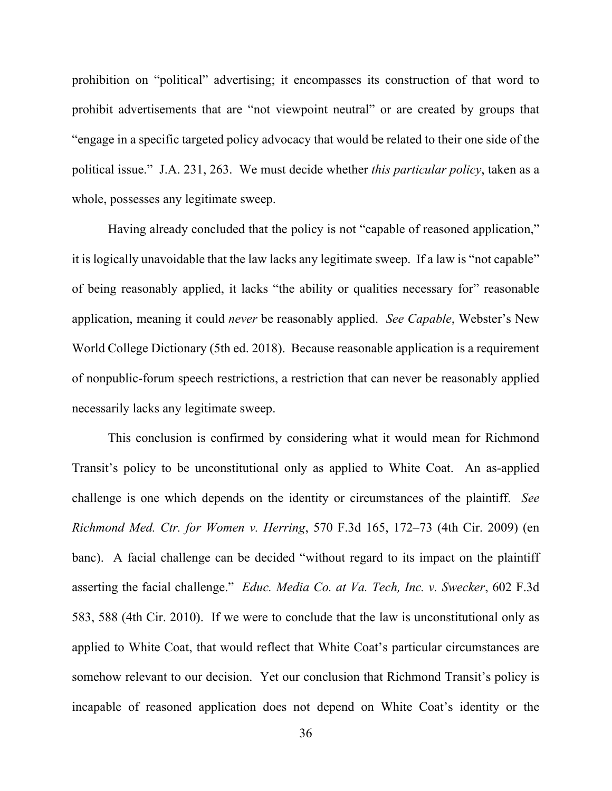prohibition on "political" advertising; it encompasses its construction of that word to prohibit advertisements that are "not viewpoint neutral" or are created by groups that "engage in a specific targeted policy advocacy that would be related to their one side of the political issue." J.A. 231, 263. We must decide whether *this particular policy*, taken as a whole, possesses any legitimate sweep.

Having already concluded that the policy is not "capable of reasoned application," it is logically unavoidable that the law lacks any legitimate sweep. If a law is "not capable" of being reasonably applied, it lacks "the ability or qualities necessary for" reasonable application, meaning it could *never* be reasonably applied. *See Capable*, Webster's New World College Dictionary (5th ed. 2018). Because reasonable application is a requirement of nonpublic-forum speech restrictions, a restriction that can never be reasonably applied necessarily lacks any legitimate sweep.

This conclusion is confirmed by considering what it would mean for Richmond Transit's policy to be unconstitutional only as applied to White Coat. An as-applied challenge is one which depends on the identity or circumstances of the plaintiff. *See Richmond Med. Ctr. for Women v. Herring*, 570 F.3d 165, 172–73 (4th Cir. 2009) (en banc). A facial challenge can be decided "without regard to its impact on the plaintiff asserting the facial challenge." *Educ. Media Co. at Va. Tech, Inc. v. Swecker*, 602 F.3d 583, 588 (4th Cir. 2010). If we were to conclude that the law is unconstitutional only as applied to White Coat, that would reflect that White Coat's particular circumstances are somehow relevant to our decision. Yet our conclusion that Richmond Transit's policy is incapable of reasoned application does not depend on White Coat's identity or the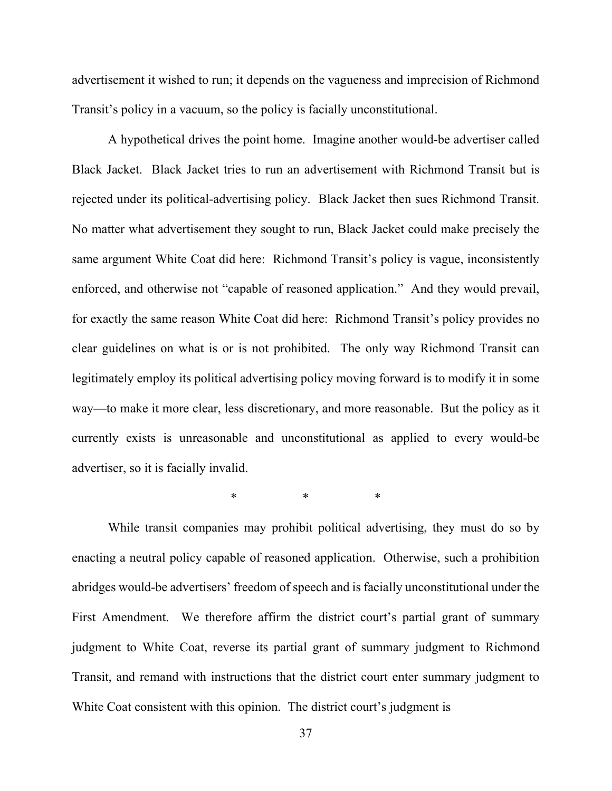advertisement it wished to run; it depends on the vagueness and imprecision of Richmond Transit's policy in a vacuum, so the policy is facially unconstitutional.

A hypothetical drives the point home. Imagine another would-be advertiser called Black Jacket. Black Jacket tries to run an advertisement with Richmond Transit but is rejected under its political-advertising policy. Black Jacket then sues Richmond Transit. No matter what advertisement they sought to run, Black Jacket could make precisely the same argument White Coat did here: Richmond Transit's policy is vague, inconsistently enforced, and otherwise not "capable of reasoned application." And they would prevail, for exactly the same reason White Coat did here: Richmond Transit's policy provides no clear guidelines on what is or is not prohibited. The only way Richmond Transit can legitimately employ its political advertising policy moving forward is to modify it in some way—to make it more clear, less discretionary, and more reasonable. But the policy as it currently exists is unreasonable and unconstitutional as applied to every would-be advertiser, so it is facially invalid.

\* \* \* \* \*

While transit companies may prohibit political advertising, they must do so by enacting a neutral policy capable of reasoned application. Otherwise, such a prohibition abridges would-be advertisers' freedom of speech and is facially unconstitutional under the First Amendment. We therefore affirm the district court's partial grant of summary judgment to White Coat, reverse its partial grant of summary judgment to Richmond Transit, and remand with instructions that the district court enter summary judgment to White Coat consistent with this opinion. The district court's judgment is